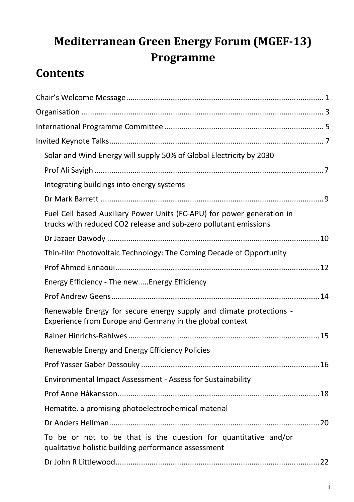# **Mediterranean Green Energy Forum (MGEF-13) Programme**

# **Contents**

| Solar and Wind Energy will supply 50% of Global Electricity by 2030                                                                        |  |
|--------------------------------------------------------------------------------------------------------------------------------------------|--|
|                                                                                                                                            |  |
| Integrating buildings into energy systems                                                                                                  |  |
|                                                                                                                                            |  |
| Fuel Cell based Auxiliary Power Units (FC-APU) for power generation in<br>trucks with reduced CO2 release and sub-zero pollutant emissions |  |
|                                                                                                                                            |  |
| Thin-film Photovoltaic Technology: The Coming Decade of Opportunity                                                                        |  |
|                                                                                                                                            |  |
| Energy Efficiency - The newEnergy Efficiency                                                                                               |  |
|                                                                                                                                            |  |
| Renewable Energy for secure energy supply and climate protections -<br>Experience from Europe and Germany in the global context            |  |
|                                                                                                                                            |  |
| Renewable Energy and Energy Efficiency Policies                                                                                            |  |
|                                                                                                                                            |  |
| Environmental Impact Assessment - Assess for Sustainability                                                                                |  |
|                                                                                                                                            |  |
| Hematite, a promising photoelectrochemical material                                                                                        |  |
|                                                                                                                                            |  |
| To be or not to be that is the question for quantitative and/or<br>qualitative holistic building performance assessment                    |  |
|                                                                                                                                            |  |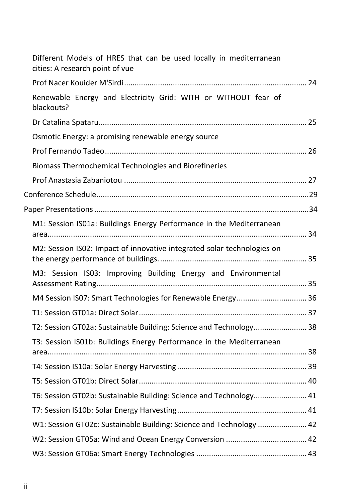| Different Models of HRES that can be used locally in mediterranean<br>cities: A research point of vue |  |
|-------------------------------------------------------------------------------------------------------|--|
|                                                                                                       |  |
| Renewable Energy and Electricity Grid: WITH or WITHOUT fear of<br>blackouts?                          |  |
|                                                                                                       |  |
| Osmotic Energy: a promising renewable energy source                                                   |  |
|                                                                                                       |  |
| Biomass Thermochemical Technologies and Biorefineries                                                 |  |
|                                                                                                       |  |
|                                                                                                       |  |
|                                                                                                       |  |
| M1: Session IS01a: Buildings Energy Performance in the Mediterranean                                  |  |
| M2: Session IS02: Impact of innovative integrated solar technologies on                               |  |
| M3: Session IS03: Improving Building Energy and Environmental                                         |  |
| M4 Session IS07: Smart Technologies for Renewable Energy 36                                           |  |
|                                                                                                       |  |
| T2: Session GT02a: Sustainable Building: Science and Technology 38                                    |  |
| T3: Session IS01b: Buildings Energy Performance in the Mediterranean                                  |  |
|                                                                                                       |  |
|                                                                                                       |  |
| T6: Session GT02b: Sustainable Building: Science and Technology 41                                    |  |
|                                                                                                       |  |
| W1: Session GT02c: Sustainable Building: Science and Technology  42                                   |  |
|                                                                                                       |  |
|                                                                                                       |  |
|                                                                                                       |  |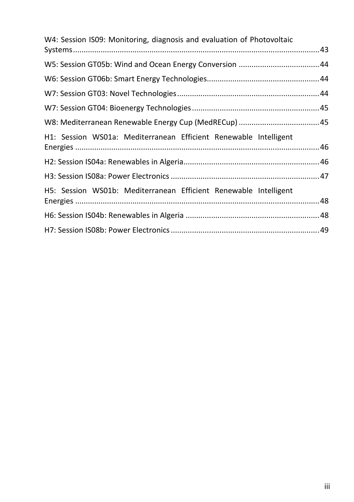| W4: Session IS09: Monitoring, diagnosis and evaluation of Photovoltaic |  |  |
|------------------------------------------------------------------------|--|--|
|                                                                        |  |  |
|                                                                        |  |  |
|                                                                        |  |  |
|                                                                        |  |  |
|                                                                        |  |  |
|                                                                        |  |  |
| H1: Session WS01a: Mediterranean Efficient Renewable Intelligent       |  |  |
|                                                                        |  |  |
|                                                                        |  |  |
| H5: Session WS01b: Mediterranean Efficient Renewable Intelligent       |  |  |
|                                                                        |  |  |
|                                                                        |  |  |
|                                                                        |  |  |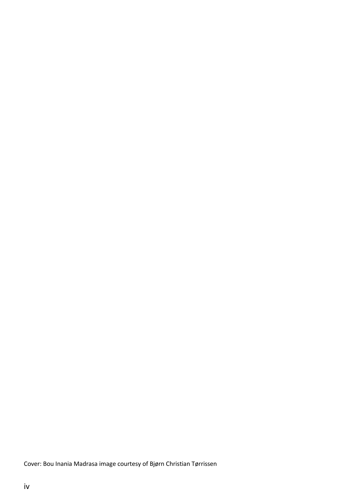Cover: Bou Inania Madrasa image courtesy of Bjørn Christian Tørrissen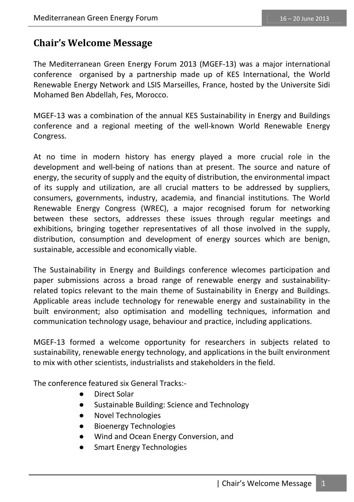### **Chair's Welcome Message**

The Mediterranean Green Energy Forum 2013 (MGEF-13) was a major international conference organised by a partnership made up of KES International, the World Renewable Energy Network and LSIS Marseilles, France, hosted by the Universite Sidi Mohamed Ben Abdellah, Fes, Morocco.

MGEF-13 was a combination of the annual KES Sustainability in Energy and Buildings conference and a regional meeting of the well-known World Renewable Energy Congress.

At no time in modern history has energy played a more crucial role in the development and well-being of nations than at present. The source and nature of energy, the security of supply and the equity of distribution, the environmental impact of its supply and utilization, are all crucial matters to be addressed by suppliers, consumers, governments, industry, academia, and financial institutions. The World Renewable Energy Congress (WREC), a major recognised forum for networking between these sectors, addresses these issues through regular meetings and exhibitions, bringing together representatives of all those involved in the supply, distribution, consumption and development of energy sources which are benign, sustainable, accessible and economically viable.

The Sustainability in Energy and Buildings conference wlecomes participation and paper submissions across a broad range of renewable energy and sustainabilityrelated topics relevant to the main theme of Sustainability in Energy and Buildings. Applicable areas include technology for renewable energy and sustainability in the built environment; also optimisation and modelling techniques, information and communication technology usage, behaviour and practice, including applications.

MGEF-13 formed a welcome opportunity for researchers in subjects related to sustainability, renewable energy technology, and applications in the built environment to mix with other scientists, industrialists and stakeholders in the field.

The conference featured six General Tracks:-

- Direct Solar
- Sustainable Building: Science and Technology
- **Novel Technologies**
- Bioenergy Technologies
- Wind and Ocean Energy Conversion, and
- **•** Smart Energy Technologies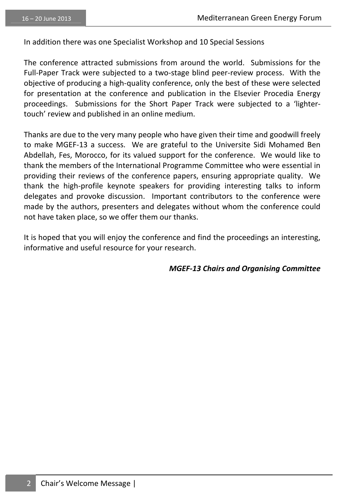In addition there was one Specialist Workshop and 10 Special Sessions

The conference attracted submissions from around the world. Submissions for the Full-Paper Track were subjected to a two-stage blind peer-review process. With the objective of producing a high-quality conference, only the best of these were selected for presentation at the conference and publication in the Elsevier Procedia Energy proceedings. Submissions for the Short Paper Track were subjected to a 'lightertouch' review and published in an online medium.

Thanks are due to the very many people who have given their time and goodwill freely to make MGEF-13 a success. We are grateful to the Universite Sidi Mohamed Ben Abdellah, Fes, Morocco, for its valued support for the conference. We would like to thank the members of the International Programme Committee who were essential in providing their reviews of the conference papers, ensuring appropriate quality. We thank the high-profile keynote speakers for providing interesting talks to inform delegates and provoke discussion. Important contributors to the conference were made by the authors, presenters and delegates without whom the conference could not have taken place, so we offer them our thanks.

It is hoped that you will enjoy the conference and find the proceedings an interesting, informative and useful resource for your research.

*MGEF-13 Chairs and Organising Committee*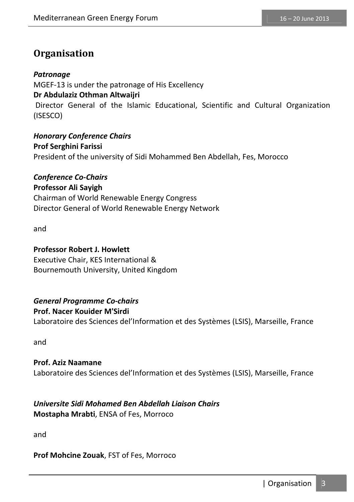### **Organisation**

#### *Patronage*

MGEF-13 is under the patronage of His Excellency **Dr Abdulaziz Othman Altwaijri**  Director General of the Islamic Educational, Scientific and Cultural Organization (ISESCO)

*Honorary Conference Chairs*  **Prof Serghini Farissi**  President of the university of Sidi Mohammed Ben Abdellah, Fes, Morocco

*Conference Co-Chairs*  **Professor Ali Sayigh**  Chairman of World Renewable Energy Congress Director General of World Renewable Energy Network

and

#### **Professor Robert J. Howlett**

Executive Chair, KES International & Bournemouth University, United Kingdom

#### *General Programme Co-chairs*

#### **Prof. Nacer Kouider M'Sirdi**

Laboratoire des Sciences del'Information et des Systèmes (LSIS), Marseille, France

and

#### **Prof. Aziz Naamane**  Laboratoire des Sciences del'Information et des Systèmes (LSIS), Marseille, France

#### *Universite Sidi Mohamed Ben Abdellah Liaison Chairs*  **Mostapha Mrabti**, ENSA of Fes, Morroco

and

#### **Prof Mohcine Zouak**, FST of Fes, Morroco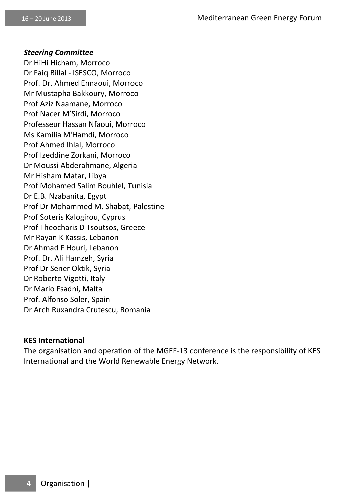#### *Steering Committee*

Dr HiHi Hicham, Morroco Dr Faiq Billal - ISESCO, Morroco Prof. Dr. Ahmed Ennaoui, Morroco Mr Mustapha Bakkoury, Morroco Prof Aziz Naamane, Morroco Prof Nacer M'Sirdi, Morroco Professeur Hassan Nfaoui, Morroco Ms Kamilia M'Hamdi, Morroco Prof Ahmed Ihlal, Morroco Prof Izeddine Zorkani, Morroco Dr Moussi Abderahmane, Algeria Mr Hisham Matar, Libya Prof Mohamed Salim Bouhlel, Tunisia Dr E.B. Nzabanita, Egypt Prof Dr Mohammed M. Shabat, Palestine Prof Soteris Kalogirou, Cyprus Prof Theocharis D Tsoutsos, Greece Mr Rayan K Kassis, Lebanon Dr Ahmad F Houri, Lebanon Prof. Dr. Ali Hamzeh, Syria Prof Dr Sener Oktik, Syria Dr Roberto Vigotti, Italy Dr Mario Fsadni, Malta Prof. Alfonso Soler, Spain Dr Arch Ruxandra Crutescu, Romania

#### **KES International**

The organisation and operation of the MGEF-13 conference is the responsibility of KES International and the World Renewable Energy Network.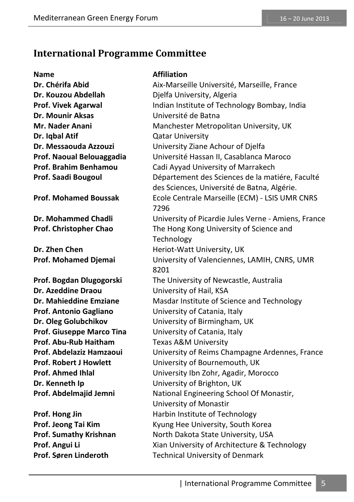### **International Programme Committee**

**Name Affiliation Dr. Kouzou Abdellah Bandara Bandara Dielfa University, Algeria Dr. Mounir Aksas** Université de Batna **Dr. Iqbal Atif Catar University Dr. Azeddine Draou** University of Hail, KSA **Prof. Antonio Gagliano** University of Catania, Italy **Prof. Giuseppe Marco Tina** University of Catania, Italy **Prof. Abu-Rub Haitham** Texas A&M University **Dr. Kenneth Ip 19. Example 20. All University of Brighton, UK** 

**Dr. Chérifa Abid Aix-Marseille Université, Marseille, France Prof. Vivek Agarwal** Indian Institute of Technology Bombay, India **Mr. Nader Anani Manchester Metropolitan University, UK Dr. Messaouda Azzouzi** University Ziane Achour of Djelfa **Prof. Naoual Belouaggadia** Université Hassan II, Casablanca Maroco **Prof. Brahim Benhamou** Cadi Ayyad University of Marrakech **Prof. Saadi Bougoul** Département des Sciences de la matiére, Faculté des Sciences, Université de Batna, Algérie. **Prof. Mohamed Boussak** Ecole Centrale Marseille (ECM) - LSIS UMR CNRS 7296 **Dr. Mohammed Chadli** University of Picardie Jules Verne - Amiens, France **Prof. Christopher Chao** The Hong Kong University of Science and **Technology Dr. Zhen Chen Heriot-Watt University, UK Prof. Mohamed Djemai** University of Valenciennes, LAMIH, CNRS, UMR 8201 **Prof. Bogdan Dlugogorski** The University of Newcastle, Australia **Dr. Mahieddine Emziane** Masdar Institute of Science and Technology **Dr. Oleg Golubchikov** University of Birmingham, UK **Prof. Abdelaziz Hamzaoui** University of Reims Champagne Ardennes, France **Prof. Robert J Howlett University of Bournemouth, UK Prof. Ahmed Ihlal** University Ibn Zohr, Agadir, Morocco **Prof. Abdelmajid Jemni** National Engineering School Of Monastir, University of Monastir **Prof. Hong Jin Harbin Institute of Technology Prof. Jeong Tai Kim Kyung Hee University, South Korea Prof. Sumathy Krishnan North Dakota State University, USA Prof. Angui Li** Xian University of Architecture & Technology **Prof. Søren Linderoth** Technical University of Denmark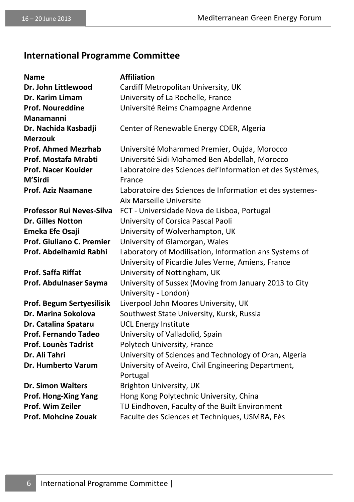### **International Programme Committee**

| <b>Name</b>                      | <b>Affiliation</b>                                        |
|----------------------------------|-----------------------------------------------------------|
| Dr. John Littlewood              | Cardiff Metropolitan University, UK                       |
| Dr. Karim Limam                  | University of La Rochelle, France                         |
| <b>Prof. Noureddine</b>          | Université Reims Champagne Ardenne                        |
| Manamanni                        |                                                           |
| Dr. Nachida Kasbadji             | Center of Renewable Energy CDER, Algeria                  |
| <b>Merzouk</b>                   |                                                           |
| <b>Prof. Ahmed Mezrhab</b>       | Université Mohammed Premier, Oujda, Morocco               |
| Prof. Mostafa Mrabti             | Université Sidi Mohamed Ben Abdellah, Morocco             |
| <b>Prof. Nacer Kouider</b>       | Laboratoire des Sciences del'Information et des Systèmes, |
| M'Sirdi                          | France                                                    |
| <b>Prof. Aziz Naamane</b>        | Laboratoire des Sciences de Information et des systemes-  |
|                                  | Aix Marseille Universite                                  |
| <b>Professor Rui Neves-Silva</b> | FCT - Universidade Nova de Lisboa, Portugal               |
| <b>Dr. Gilles Notton</b>         | University of Corsica Pascal Paoli                        |
| Emeka Efe Osaji                  | University of Wolverhampton, UK                           |
| Prof. Giuliano C. Premier        | University of Glamorgan, Wales                            |
| Prof. Abdelhamid Rabhi           | Laboratory of Modilisation, Information ans Systems of    |
|                                  | University of Picardie Jules Verne, Amiens, France        |
| <b>Prof. Saffa Riffat</b>        | University of Nottingham, UK                              |
| Prof. Abdulnaser Sayma           | University of Sussex (Moving from January 2013 to City    |
|                                  | University - London)                                      |
| Prof. Begum Sertyesilisik        | Liverpool John Moores University, UK                      |
| Dr. Marina Sokolova              | Southwest State University, Kursk, Russia                 |
| Dr. Catalina Spataru             | <b>UCL Energy Institute</b>                               |
| <b>Prof. Fernando Tadeo</b>      | University of Valladolid, Spain                           |
| <b>Prof. Lounès Tadrist</b>      | Polytech University, France                               |
| Dr. Ali Tahri                    | University of Sciences and Technology of Oran, Algeria    |
| <b>Dr. Humberto Varum</b>        | University of Aveiro, Civil Engineering Department,       |
|                                  | Portugal                                                  |
| <b>Dr. Simon Walters</b>         | Brighton University, UK                                   |
| Prof. Hong-Xing Yang             | Hong Kong Polytechnic University, China                   |
| Prof. Wim Zeiler                 | TU Eindhoven, Faculty of the Built Environment            |
| <b>Prof. Mohcine Zouak</b>       | Faculte des Sciences et Techniques, USMBA, Fès            |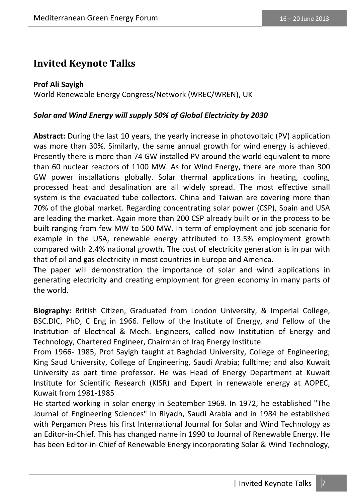### **Invited Keynote Talks**

#### **Prof Ali Sayigh**

World Renewable Energy Congress/Network (WREC/WREN), UK

#### *Solar and Wind Energy will supply 50% of Global Electricity by 2030*

**Abstract:** During the last 10 years, the yearly increase in photovoltaic (PV) application was more than 30%. Similarly, the same annual growth for wind energy is achieved. Presently there is more than 74 GW installed PV around the world equivalent to more than 60 nuclear reactors of 1100 MW. As for Wind Energy, there are more than 300 GW power installations globally. Solar thermal applications in heating, cooling, processed heat and desalination are all widely spread. The most effective small system is the evacuated tube collectors. China and Taiwan are covering more than 70% of the global market. Regarding concentrating solar power (CSP), Spain and USA are leading the market. Again more than 200 CSP already built or in the process to be built ranging from few MW to 500 MW. In term of employment and job scenario for example in the USA, renewable energy attributed to 13.5% employment growth compared with 2.4% national growth. The cost of electricity generation is in par with that of oil and gas electricity in most countries in Europe and America.

The paper will demonstration the importance of solar and wind applications in generating electricity and creating employment for green economy in many parts of the world.

**Biography:** British Citizen, Graduated from London University, & Imperial College, BSC.DIC, PhD, C Eng in 1966. Fellow of the Institute of Energy, and Fellow of the Institution of Electrical & Mech. Engineers, called now Institution of Energy and Technology, Chartered Engineer, Chairman of Iraq Energy Institute.

From 1966- 1985, Prof Sayigh taught at Baghdad University, College of Engineering; King Saud University, College of Engineering, Saudi Arabia; fulltime; and also Kuwait University as part time professor. He was Head of Energy Department at Kuwait Institute for Scientific Research (KISR) and Expert in renewable energy at AOPEC, Kuwait from 1981-1985

He started working in solar energy in September 1969. In 1972, he established "The Journal of Engineering Sciences" in Riyadh, Saudi Arabia and in 1984 he established with Pergamon Press his first International Journal for Solar and Wind Technology as an Editor-in-Chief. This has changed name in 1990 to Journal of Renewable Energy. He has been Editor-in-Chief of Renewable Energy incorporating Solar & Wind Technology,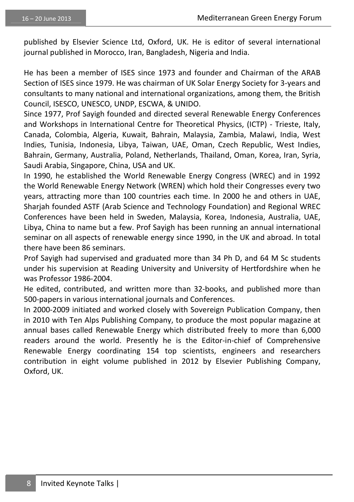published by Elsevier Science Ltd, Oxford, UK. He is editor of several international journal published in Morocco, Iran, Bangladesh, Nigeria and India.

He has been a member of ISES since 1973 and founder and Chairman of the ARAB Section of ISES since 1979. He was chairman of UK Solar Energy Society for 3-years and consultants to many national and international organizations, among them, the British Council, ISESCO, UNESCO, UNDP, ESCWA, & UNIDO.

Since 1977, Prof Sayigh founded and directed several Renewable Energy Conferences and Workshops in International Centre for Theoretical Physics, (ICTP) - Trieste, Italy, Canada, Colombia, Algeria, Kuwait, Bahrain, Malaysia, Zambia, Malawi, India, West Indies, Tunisia, Indonesia, Libya, Taiwan, UAE, Oman, Czech Republic, West Indies, Bahrain, Germany, Australia, Poland, Netherlands, Thailand, Oman, Korea, Iran, Syria, Saudi Arabia, Singapore, China, USA and UK.

In 1990, he established the World Renewable Energy Congress (WREC) and in 1992 the World Renewable Energy Network (WREN) which hold their Congresses every two years, attracting more than 100 countries each time. In 2000 he and others in UAE, Sharjah founded ASTF (Arab Science and Technology Foundation) and Regional WREC Conferences have been held in Sweden, Malaysia, Korea, Indonesia, Australia, UAE, Libya, China to name but a few. Prof Sayigh has been running an annual international seminar on all aspects of renewable energy since 1990, in the UK and abroad. In total there have been 86 seminars.

Prof Sayigh had supervised and graduated more than 34 Ph D, and 64 M Sc students under his supervision at Reading University and University of Hertfordshire when he was Professor 1986-2004.

He edited, contributed, and written more than 32-books, and published more than 500-papers in various international journals and Conferences.

In 2000-2009 initiated and worked closely with Sovereign Publication Company, then in 2010 with Ten Alps Publishing Company, to produce the most popular magazine at annual bases called Renewable Energy which distributed freely to more than 6,000 readers around the world. Presently he is the Editor-in-chief of Comprehensive Renewable Energy coordinating 154 top scientists, engineers and researchers contribution in eight volume published in 2012 by Elsevier Publishing Company, Oxford, UK.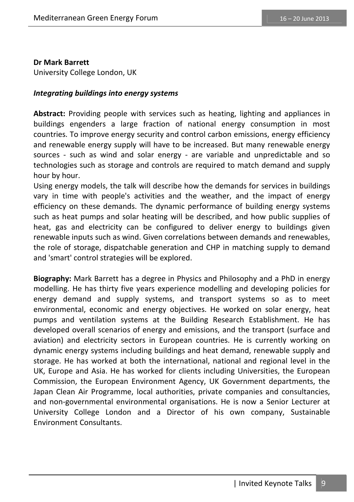#### **Dr Mark Barrett**

University College London, UK

#### *Integrating buildings into energy systems*

**Abstract:** Providing people with services such as heating, lighting and appliances in buildings engenders a large fraction of national energy consumption in most countries. To improve energy security and control carbon emissions, energy efficiency and renewable energy supply will have to be increased. But many renewable energy sources - such as wind and solar energy - are variable and unpredictable and so technologies such as storage and controls are required to match demand and supply hour by hour.

Using energy models, the talk will describe how the demands for services in buildings vary in time with people's activities and the weather, and the impact of energy efficiency on these demands. The dynamic performance of building energy systems such as heat pumps and solar heating will be described, and how public supplies of heat, gas and electricity can be configured to deliver energy to buildings given renewable inputs such as wind. Given correlations between demands and renewables, the role of storage, dispatchable generation and CHP in matching supply to demand and 'smart' control strategies will be explored.

**Biography:** Mark Barrett has a degree in Physics and Philosophy and a PhD in energy modelling. He has thirty five years experience modelling and developing policies for energy demand and supply systems, and transport systems so as to meet environmental, economic and energy objectives. He worked on solar energy, heat pumps and ventilation systems at the Building Research Establishment. He has developed overall scenarios of energy and emissions, and the transport (surface and aviation) and electricity sectors in European countries. He is currently working on dynamic energy systems including buildings and heat demand, renewable supply and storage. He has worked at both the international, national and regional level in the UK, Europe and Asia. He has worked for clients including Universities, the European Commission, the European Environment Agency, UK Government departments, the Japan Clean Air Programme, local authorities, private companies and consultancies, and non-governmental environmental organisations. He is now a Senior Lecturer at University College London and a Director of his own company, Sustainable Environment Consultants.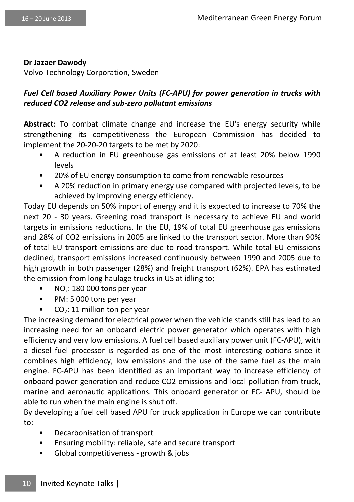#### **Dr Jazaer Dawody**

Volvo Technology Corporation, Sweden

#### *Fuel Cell based Auxiliary Power Units (FC-APU) for power generation in trucks with reduced CO2 release and sub-zero pollutant emissions*

**Abstract:** To combat climate change and increase the EU's energy security while strengthening its competitiveness the European Commission has decided to implement the 20-20-20 targets to be met by 2020:

- A reduction in EU greenhouse gas emissions of at least 20% below 1990 levels
- 20% of EU energy consumption to come from renewable resources
- A 20% reduction in primary energy use compared with projected levels, to be achieved by improving energy efficiency.

Today EU depends on 50% import of energy and it is expected to increase to 70% the next 20 - 30 years. Greening road transport is necessary to achieve EU and world targets in emissions reductions. In the EU, 19% of total EU greenhouse gas emissions and 28% of CO2 emissions in 2005 are linked to the transport sector. More than 90% of total EU transport emissions are due to road transport. While total EU emissions declined, transport emissions increased continuously between 1990 and 2005 due to high growth in both passenger (28%) and freight transport (62%). EPA has estimated the emission from long haulage trucks in US at idling to;

- NO<sub>x</sub>: 180 000 tons per year
- PM: 5 000 tons per year
- $CO<sub>2</sub>: 11$  million ton per year

The increasing demand for electrical power when the vehicle stands still has lead to an increasing need for an onboard electric power generator which operates with high efficiency and very low emissions. A fuel cell based auxiliary power unit (FC-APU), with a diesel fuel processor is regarded as one of the most interesting options since it combines high efficiency, low emissions and the use of the same fuel as the main engine. FC-APU has been identified as an important way to increase efficiency of onboard power generation and reduce CO2 emissions and local pollution from truck, marine and aeronautic applications. This onboard generator or FC- APU, should be able to run when the main engine is shut off.

By developing a fuel cell based APU for truck application in Europe we can contribute to:

- Decarbonisation of transport
- Ensuring mobility: reliable, safe and secure transport
- Global competitiveness growth & jobs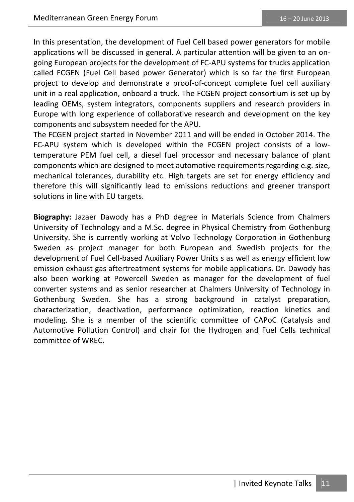In this presentation, the development of Fuel Cell based power generators for mobile applications will be discussed in general. A particular attention will be given to an ongoing European projects for the development of FC-APU systems for trucks application called FCGEN (Fuel Cell based power Generator) which is so far the first European project to develop and demonstrate a proof-of-concept complete fuel cell auxiliary unit in a real application, onboard a truck. The FCGEN project consortium is set up by leading OEMs, system integrators, components suppliers and research providers in Europe with long experience of collaborative research and development on the key components and subsystem needed for the APU.

The FCGEN project started in November 2011 and will be ended in October 2014. The FC-APU system which is developed within the FCGEN project consists of a lowtemperature PEM fuel cell, a diesel fuel processor and necessary balance of plant components which are designed to meet automotive requirements regarding e.g. size, mechanical tolerances, durability etc. High targets are set for energy efficiency and therefore this will significantly lead to emissions reductions and greener transport solutions in line with EU targets.

**Biography:** Jazaer Dawody has a PhD degree in Materials Science from Chalmers University of Technology and a M.Sc. degree in Physical Chemistry from Gothenburg University. She is currently working at Volvo Technology Corporation in Gothenburg Sweden as project manager for both European and Swedish projects for the development of Fuel Cell-based Auxiliary Power Units s as well as energy efficient low emission exhaust gas aftertreatment systems for mobile applications. Dr. Dawody has also been working at Powercell Sweden as manager for the development of fuel converter systems and as senior researcher at Chalmers University of Technology in Gothenburg Sweden. She has a strong background in catalyst preparation, characterization, deactivation, performance optimization, reaction kinetics and modeling. She is a member of the scientific committee of CAPoC (Catalysis and Automotive Pollution Control) and chair for the Hydrogen and Fuel Cells technical committee of WREC.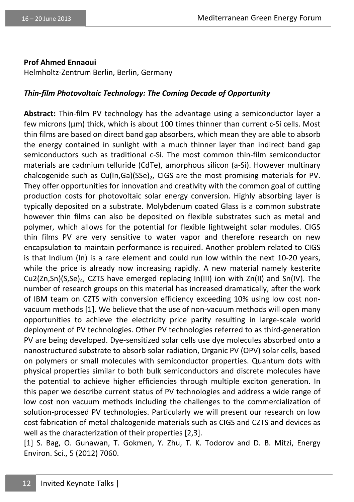#### **Prof Ahmed Ennaoui**

Helmholtz-Zentrum Berlin, Berlin, Germany

#### *Thin-film Photovoltaic Technology: The Coming Decade of Opportunity*

**Abstract:** Thin-film PV technology has the advantage using a semiconductor layer a few microns (μm) thick, which is about 100 times thinner than current c-Si cells. Most thin films are based on direct band gap absorbers, which mean they are able to absorb the energy contained in sunlight with a much thinner layer than indirect band gap semiconductors such as traditional c-Si. The most common thin-film semiconductor materials are cadmium telluride (CdTe), amorphous silicon (a-Si). However multinary chalcogenide such as  $Cu(In,Ga)(SSe)$ , CIGS are the most promising materials for PV. They offer opportunities for innovation and creativity with the common goal of cutting production costs for photovoltaic solar energy conversion. Highly absorbing layer is typically deposited on a substrate. Molybdenum coated Glass is a common substrate however thin films can also be deposited on flexible substrates such as metal and polymer, which allows for the potential for flexible lightweight solar modules. CIGS thin films PV are very sensitive to water vapor and therefore research on new encapsulation to maintain performance is required. Another problem related to CIGS is that Indium (In) is a rare element and could run low within the next 10-20 years, while the price is already now increasing rapidly. A new material namely kesterite Cu2(Zn,Sn)(S,Se)<sub>4</sub>, CZTS have emerged replacing In(III) ion with Zn(II) and Sn(IV). The number of research groups on this material has increased dramatically, after the work of IBM team on CZTS with conversion efficiency exceeding 10% using low cost nonvacuum methods [1]. We believe that the use of non-vacuum methods will open many opportunities to achieve the electricity price parity resulting in large-scale world deployment of PV technologies. Other PV technologies referred to as third-generation PV are being developed. Dye-sensitized solar cells use dye molecules absorbed onto a nanostructured substrate to absorb solar radiation, Organic PV (OPV) solar cells, based on polymers or small molecules with semiconductor properties. Quantum dots with physical properties similar to both bulk semiconductors and discrete molecules have the potential to achieve higher efficiencies through multiple exciton generation. In this paper we describe current status of PV technologies and address a wide range of low cost non vacuum methods including the challenges to the commercialization of solution-processed PV technologies. Particularly we will present our research on low cost fabrication of metal chalcogenide materials such as CIGS and CZTS and devices as well as the characterization of their properties [2,3].

[1] S. Bag, O. Gunawan, T. Gokmen, Y. Zhu, T. K. Todorov and D. B. Mitzi, Energy Environ. Sci., 5 (2012) 7060.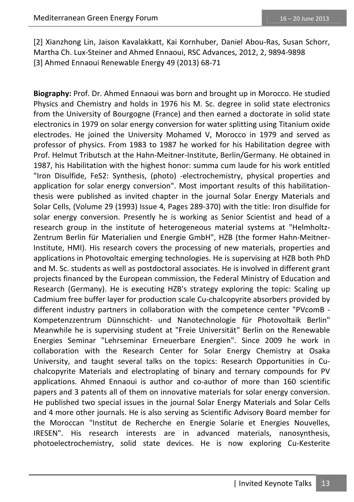[2] Xianzhong Lin, Jaison Kavalakkatt, Kai Kornhuber, Daniel Abou-Ras, Susan Schorr, Martha Ch. Lux-Steiner and Ahmed Ennaoui, RSC Advances, 2012, 2, 9894-9898 [3] Ahmed Ennaoui Renewable Energy 49 (2013) 68-71

**Biography:** Prof. Dr. Ahmed Ennaoui was born and brought up in Morocco. He studied Physics and Chemistry and holds in 1976 his M. Sc. degree in solid state electronics from the University of Bourgogne (France) and then earned a doctorate in solid state electronics in 1979 on solar energy conversion for water splitting using Titanium oxide electrodes. He joined the University Mohamed V, Morocco in 1979 and served as professor of physics. From 1983 to 1987 he worked for his Habilitation degree with Prof. Helmut Tributsch at the Hahn-Meitner-Institute, Berlin/Germany. He obtained in 1987, his Habilitation with the highest honor: summa cum laude for his work entitled "Iron Disulfide, FeS2: Synthesis, (photo) -electrochemistry, physical properties and application for solar energy conversion". Most important results of this habilitationthesis were published as invited chapter in the journal Solar Energy Materials and Solar Cells, (Volume 29 (1993) Issue 4, Pages 289-370) with the title: Iron disulfide for solar energy conversion. Presently he is working as Senior Scientist and head of a research group in the institute of heterogeneous material systems at "Helmholtz-Zentrum Berlin für Materialien und Energie GmbH", HZB (the former Hahn-Meitner-Institute, HMI). His research covers the processing of new materials, properties and applications in Photovoltaic emerging technologies. He is supervising at HZB both PhD and M. Sc. students as well as postdoctoral associates. He is involved in different grant projects financed by the European commission, the Federal Ministry of Education and Research (Germany). He is executing HZB's strategy exploring the topic: Scaling up Cadmium free buffer layer for production scale Cu-chalcopyrite absorbers provided by different industry partners in collaboration with the competence center "PVcomB - Kompetenzzentrum Dünnschicht- und Nanotechnologie für Photovoltaik Berlin" Meanwhile he is supervising student at "Freie Universität" Berlin on the Renewable Energies Seminar "Lehrseminar Erneuerbare Energien". Since 2009 he work in collaboration with the Research Center for Solar Energy Chemistry at Osaka University, and taught several talks on the topics: Research Opportunities in Cuchalcopyrite Materials and electroplating of binary and ternary compounds for PV applications. Ahmed Ennaoui is author and co-author of more than 160 scientific papers and 3 patents all of them on innovative materials for solar energy conversion. He published two special issues in the journal Solar Energy Materials and Solar Cells and 4 more other journals. He is also serving as Scientific Advisory Board member for the Moroccan "Institut de Recherche en Energie Solarie et Energies Nouvelles, IRESEN". His research interests are in advanced materials, nanosynthesis, photoelectrochemistry, solid state devices. He is now exploring Cu-Kesterite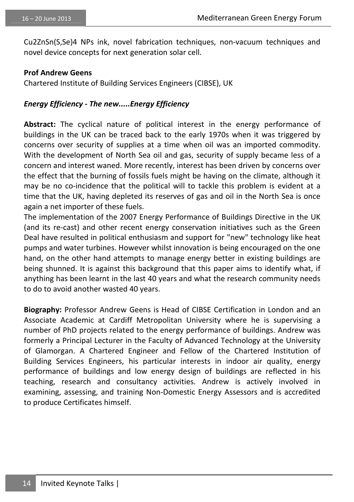Cu2ZnSn(S,Se)4 NPs ink, novel fabrication techniques, non-vacuum techniques and novel device concepts for next generation solar cell.

#### **Prof Andrew Geens**

Chartered Institute of Building Services Engineers (CIBSE), UK

#### *Energy Efficiency - The new.....Energy Efficiency*

**Abstract:** The cyclical nature of political interest in the energy performance of buildings in the UK can be traced back to the early 1970s when it was triggered by concerns over security of supplies at a time when oil was an imported commodity. With the development of North Sea oil and gas, security of supply became less of a concern and interest waned. More recently, interest has been driven by concerns over the effect that the burning of fossils fuels might be having on the climate, although it may be no co-incidence that the political will to tackle this problem is evident at a time that the UK, having depleted its reserves of gas and oil in the North Sea is once again a net importer of these fuels.

The implementation of the 2007 Energy Performance of Buildings Directive in the UK (and its re-cast) and other recent energy conservation initiatives such as the Green Deal have resulted in political enthusiasm and support for "new" technology like heat pumps and water turbines. However whilst innovation is being encouraged on the one hand, on the other hand attempts to manage energy better in existing buildings are being shunned. It is against this background that this paper aims to identify what, if anything has been learnt in the last 40 years and what the research community needs to do to avoid another wasted 40 years.

**Biography:** Professor Andrew Geens is Head of CIBSE Certification in London and an Associate Academic at Cardiff Metropolitan University where he is supervising a number of PhD projects related to the energy performance of buildings. Andrew was formerly a Principal Lecturer in the Faculty of Advanced Technology at the University of Glamorgan. A Chartered Engineer and Fellow of the Chartered Institution of Building Services Engineers, his particular interests in indoor air quality, energy performance of buildings and low energy design of buildings are reflected in his teaching, research and consultancy activities. Andrew is actively involved in examining, assessing, and training Non-Domestic Energy Assessors and is accredited to produce Certificates himself.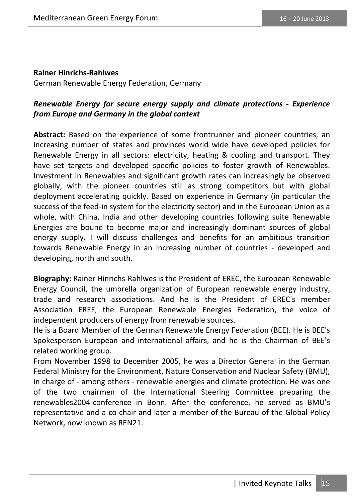#### **Rainer Hinrichs-Rahlwes**

German Renewable Energy Federation, Germany

### *Renewable Energy for secure energy supply and climate protections - Experience from Europe and Germany in the global context*

**Abstract:** Based on the experience of some frontrunner and pioneer countries, an increasing number of states and provinces world wide have developed policies for Renewable Energy in all sectors: electricity, heating & cooling and transport. They have set targets and developed specific policies to foster growth of Renewables. Investment in Renewables and significant growth rates can increasingly be observed globally, with the pioneer countries still as strong competitors but with global deployment accelerating quickly. Based on experience in Germany (in particular the success of the feed-in system for the electricity sector) and in the European Union as a whole, with China, India and other developing countries following suite Renewable Energies are bound to become major and increasingly dominant sources of global energy supply. I will discuss challenges and benefits for an ambitious transition towards Renewable Energy in an increasing number of countries - developed and developing, north and south.

**Biography:** Rainer Hinrichs-Rahlwes is the President of EREC, the European Renewable Energy Council, the umbrella organization of European renewable energy industry, trade and research associations. And he is the President of EREC's member Association EREF, the European Renewable Energies Federation, the voice of independent producers of energy from renewable sources.

He is a Board Member of the German Renewable Energy Federation (BEE). He is BEE's Spokesperson European and international affairs, and he is the Chairman of BEE's related working group.

From November 1998 to December 2005, he was a Director General in the German Federal Ministry for the Environment, Nature Conservation and Nuclear Safety (BMU), in charge of - among others - renewable energies and climate protection. He was one of the two chairmen of the International Steering Committee preparing the renewables2004-conference in Bonn. After the conference, he served as BMU's representative and a co-chair and later a member of the Bureau of the Global Policy Network, now known as REN21.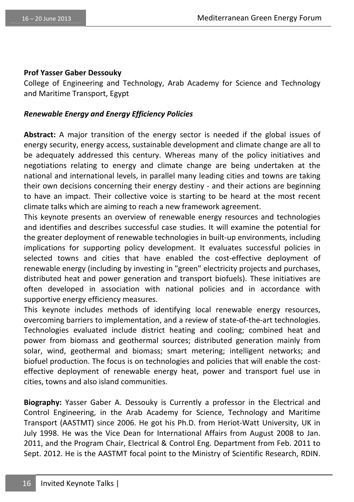#### **Prof Yasser Gaber Dessouky**

College of Engineering and Technology, Arab Academy for Science and Technology and Maritime Transport, Egypt

#### *Renewable Energy and Energy Efficiency Policies*

**Abstract:** A major transition of the energy sector is needed if the global issues of energy security, energy access, sustainable development and climate change are all to be adequately addressed this century. Whereas many of the policy initiatives and negotiations relating to energy and climate change are being undertaken at the national and international levels, in parallel many leading cities and towns are taking their own decisions concerning their energy destiny - and their actions are beginning to have an impact. Their collective voice is starting to be heard at the most recent climate talks which are aiming to reach a new framework agreement.

This keynote presents an overview of renewable energy resources and technologies and identifies and describes successful case studies. It will examine the potential for the greater deployment of renewable technologies in built-up environments, including implications for supporting policy development. It evaluates successful policies in selected towns and cities that have enabled the cost-effective deployment of renewable energy (including by investing in "green" electricity projects and purchases, distributed heat and power generation and transport biofuels). These initiatives are often developed in association with national policies and in accordance with supportive energy efficiency measures.

This keynote includes methods of identifying local renewable energy resources, overcoming barriers to implementation, and a review of state-of-the-art technologies. Technologies evaluated include district heating and cooling; combined heat and power from biomass and geothermal sources; distributed generation mainly from solar, wind, geothermal and biomass; smart metering; intelligent networks; and biofuel production. The focus is on technologies and policies that will enable the costeffective deployment of renewable energy heat, power and transport fuel use in cities, towns and also island communities.

**Biography:** Yasser Gaber A. Dessouky is Currently a professor in the Electrical and Control Engineering, in the Arab Academy for Science, Technology and Maritime Transport (AASTMT) since 2006. He got his Ph.D. from Heriot-Watt University, UK in July 1998. He was the Vice Dean for International Affairs from August 2008 to Jan. 2011, and the Program Chair, Electrical & Control Eng. Department from Feb. 2011 to Sept. 2012. He is the AASTMT focal point to the Ministry of Scientific Research, RDIN.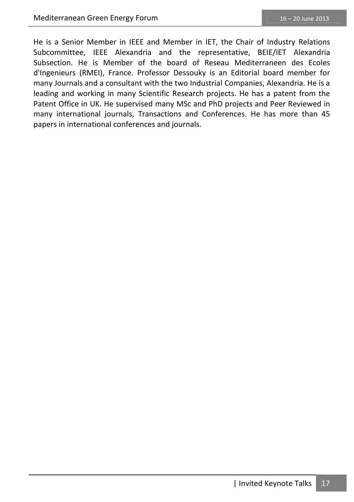He is a Senior Member in IEEE and Member in IET, the Chair of Industry Relations Subcommittee, IEEE Alexandria and the representative, BEIE/IET Alexandria Subsection. He is Member of the board of Reseau Mediterraneen des Ecoles d'Ingenieurs (RMEI), France. Professor Dessouky is an Editorial board member for many Journals and a consultant with the two Industrial Companies, Alexandria. He is a leading and working in many Scientific Research projects. He has a patent from the Patent Office in UK. He supervised many MSc and PhD projects and Peer Reviewed in many international journals, Transactions and Conferences. He has more than 45 papers in international conferences and journals.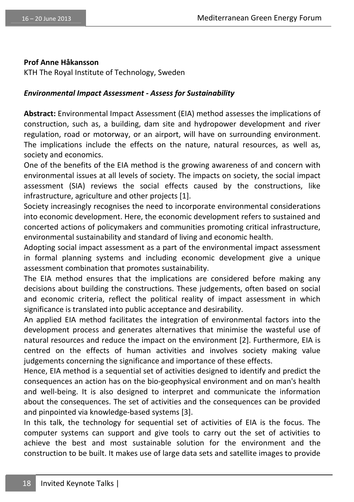#### **Prof Anne Håkansson**

KTH The Royal Institute of Technology, Sweden

#### *Environmental Impact Assessment - Assess for Sustainability*

**Abstract:** Environmental Impact Assessment (EIA) method assesses the implications of construction, such as, a building, dam site and hydropower development and river regulation, road or motorway, or an airport, will have on surrounding environment. The implications include the effects on the nature, natural resources, as well as, society and economics.

One of the benefits of the EIA method is the growing awareness of and concern with environmental issues at all levels of society. The impacts on society, the social impact assessment (SIA) reviews the social effects caused by the constructions, like infrastructure, agriculture and other projects [1].

Society increasingly recognises the need to incorporate environmental considerations into economic development. Here, the economic development refers to sustained and concerted actions of policymakers and communities promoting critical infrastructure, environmental sustainability and standard of living and economic health.

Adopting social impact assessment as a part of the environmental impact assessment in formal planning systems and including economic development give a unique assessment combination that promotes sustainability.

The EIA method ensures that the implications are considered before making any decisions about building the constructions. These judgements, often based on social and economic criteria, reflect the political reality of impact assessment in which significance is translated into public acceptance and desirability.

An applied EIA method facilitates the integration of environmental factors into the development process and generates alternatives that minimise the wasteful use of natural resources and reduce the impact on the environment [2]. Furthermore, EIA is centred on the effects of human activities and involves society making value judgements concerning the significance and importance of these effects.

Hence, EIA method is a sequential set of activities designed to identify and predict the consequences an action has on the bio-geophysical environment and on man's health and well-being. It is also designed to interpret and communicate the information about the consequences. The set of activities and the consequences can be provided and pinpointed via knowledge-based systems [3].

In this talk, the technology for sequential set of activities of EIA is the focus. The computer systems can support and give tools to carry out the set of activities to achieve the best and most sustainable solution for the environment and the construction to be built. It makes use of large data sets and satellite images to provide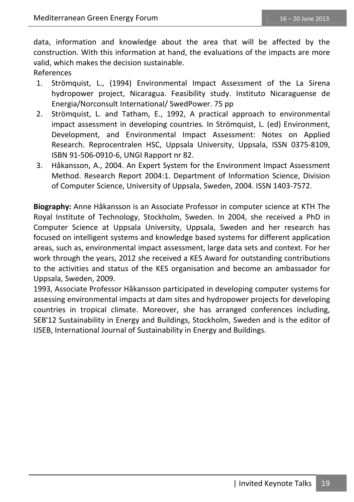data, information and knowledge about the area that will be affected by the construction. With this information at hand, the evaluations of the impacts are more valid, which makes the decision sustainable.

References

- 1. Strömquist, L., (1994) Environmental Impact Assessment of the La Sirena hydropower project, Nicaragua. Feasibility study. Instituto Nicaraguense de Energia/Norconsult International/ SwedPower. 75 pp
- 2. Strömquist, L. and Tatham, E., 1992, A practical approach to environmental impact assessment in developing countries. In Strömquist, L. (ed) Environment, Development, and Environmental Impact Assessment: Notes on Applied Research. Reprocentralen HSC, Uppsala University, Uppsala, ISSN 0375-8109, ISBN 91-506-0910-6, UNGI Rapport nr 82.
- 3. Håkansson, A., 2004. An Expert System for the Environment Impact Assessment Method. Research Report 2004:1. Department of Information Science, Division of Computer Science, University of Uppsala, Sweden, 2004. ISSN 1403-7572.

**Biography:** Anne Håkansson is an Associate Professor in computer science at KTH The Royal Institute of Technology, Stockholm, Sweden. In 2004, she received a PhD in Computer Science at Uppsala University, Uppsala, Sweden and her research has focused on intelligent systems and knowledge based systems for different application areas, such as, environmental impact assessment, large data sets and context. For her work through the years, 2012 she received a KES Award for outstanding contributions to the activities and status of the KES organisation and become an ambassador for Uppsala, Sweden, 2009.

1993, Associate Professor Håkansson participated in developing computer systems for assessing environmental impacts at dam sites and hydropower projects for developing countries in tropical climate. Moreover, she has arranged conferences including, SEB'12 Sustainability in Energy and Buildings, Stockholm, Sweden and is the editor of IJSEB, International Journal of Sustainability in Energy and Buildings.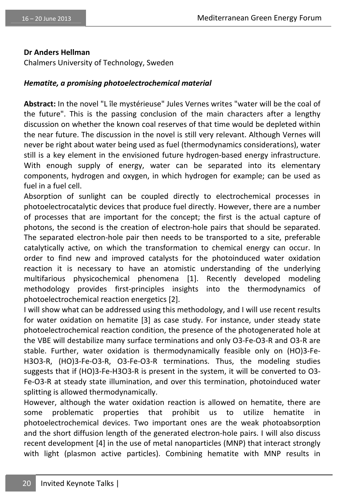#### **Dr Anders Hellman**

Chalmers University of Technology, Sweden

#### *Hematite, a promising photoelectrochemical material*

**Abstract:** In the novel "L île mystérieuse" Jules Vernes writes "water will be the coal of the future". This is the passing conclusion of the main characters after a lengthy discussion on whether the known coal reserves of that time would be depleted within the near future. The discussion in the novel is still very relevant. Although Vernes will never be right about water being used as fuel (thermodynamics considerations), water still is a key element in the envisioned future hydrogen-based energy infrastructure. With enough supply of energy, water can be separated into its elementary components, hydrogen and oxygen, in which hydrogen for example; can be used as fuel in a fuel cell.

Absorption of sunlight can be coupled directly to electrochemical processes in photoelectrocatalytic devices that produce fuel directly. However, there are a number of processes that are important for the concept; the first is the actual capture of photons, the second is the creation of electron-hole pairs that should be separated. The separated electron-hole pair then needs to be transported to a site, preferable catalytically active, on which the transformation to chemical energy can occur. In order to find new and improved catalysts for the photoinduced water oxidation reaction it is necessary to have an atomistic understanding of the underlying multifarious physicochemical phenomena [1]. Recently developed modeling methodology provides first-principles insights into the thermodynamics of photoelectrochemical reaction energetics [2].

I will show what can be addressed using this methodology, and I will use recent results for water oxidation on hematite [3] as case study. For instance, under steady state photoelectrochemical reaction condition, the presence of the photogenerated hole at the VBE will destabilize many surface terminations and only O3-Fe-O3-R and O3-R are stable. Further, water oxidation is thermodynamically feasible only on (HO)3-Fe-H3O3-R, (HO)3-Fe-O3-R, O3-Fe-O3-R terminations. Thus, the modeling studies suggests that if (HO)3-Fe-H3O3-R is present in the system, it will be converted to O3- Fe-O3-R at steady state illumination, and over this termination, photoinduced water splitting is allowed thermodynamically.

However, although the water oxidation reaction is allowed on hematite, there are some problematic properties that prohibit us to utilize hematite in photoelectrochemical devices. Two important ones are the weak photoabsorption and the short diffusion length of the generated electron-hole pairs. I will also discuss recent development [4] in the use of metal nanoparticles (MNP) that interact strongly with light (plasmon active particles). Combining hematite with MNP results in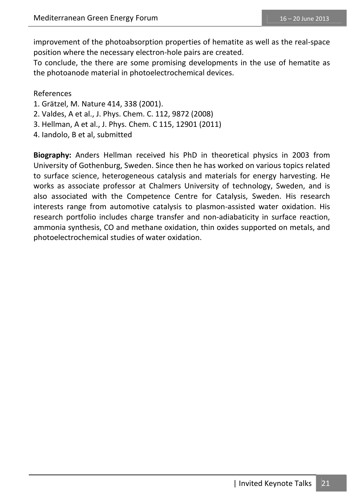improvement of the photoabsorption properties of hematite as well as the real-space position where the necessary electron-hole pairs are created.

To conclude, the there are some promising developments in the use of hematite as the photoanode material in photoelectrochemical devices.

#### References

- 1. Grätzel, M. Nature 414, 338 (2001).
- 2. Valdes, A et al., J. Phys. Chem. C. 112, 9872 (2008)
- 3. Hellman, A et al., J. Phys. Chem. C 115, 12901 (2011)
- 4. Iandolo, B et al, submitted

**Biography:** Anders Hellman received his PhD in theoretical physics in 2003 from University of Gothenburg, Sweden. Since then he has worked on various topics related to surface science, heterogeneous catalysis and materials for energy harvesting. He works as associate professor at Chalmers University of technology, Sweden, and is also associated with the Competence Centre for Catalysis, Sweden. His research interests range from automotive catalysis to plasmon-assisted water oxidation. His research portfolio includes charge transfer and non-adiabaticity in surface reaction, ammonia synthesis, CO and methane oxidation, thin oxides supported on metals, and photoelectrochemical studies of water oxidation.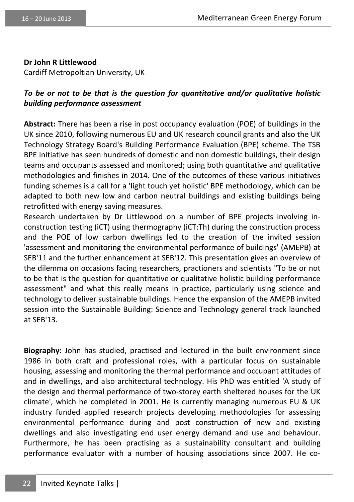#### **Dr John R Littlewood**

Cardiff Metropoltian University, UK

#### *To be or not to be that is the question for quantitative and/or qualitative holistic building performance assessment*

**Abstract:** There has been a rise in post occupancy evaluation (POE) of buildings in the UK since 2010, following numerous EU and UK research council grants and also the UK Technology Strategy Board's Building Performance Evaluation (BPE) scheme. The TSB BPE initiative has seen hundreds of domestic and non domestic buildings, their design teams and occupants assessed and monitored; using both quantitative and qualitative methodologies and finishes in 2014. One of the outcomes of these various initiatives funding schemes is a call for a 'light touch yet holistic' BPE methodology, which can be adapted to both new low and carbon neutral buildings and existing buildings being retrofitted with energy saving measures.

Research undertaken by Dr Littlewood on a number of BPE projects involving inconstruction testing (iCT) using thermography (iCT:Th) during the construction process and the POE of low carbon dwellings led to the creation of the invited session 'assessment and monitoring the environmental performance of buildings' (AMEPB) at SEB'11 and the further enhancement at SEB'12. This presentation gives an overview of the dilemma on occasions facing researchers, practioners and scientists "To be or not to be that is the question for quantitative or qualitative holistic building performance assessment" and what this really means in practice, particularly using science and technology to deliver sustainable buildings. Hence the expansion of the AMEPB invited session into the Sustainable Building: Science and Technology general track launched at SEB'13.

**Biography:** John has studied, practised and lectured in the built environment since 1986 in both craft and professional roles, with a particular focus on sustainable housing, assessing and monitoring the thermal performance and occupant attitudes of and in dwellings, and also architectural technology. His PhD was entitled 'A study of the design and thermal performance of two-storey earth sheltered houses for the UK climate', which he completed in 2001. He is currently managing numerous EU & UK industry funded applied research projects developing methodologies for assessing environmental performance during and post construction of new and existing dwellings and also investigating end user energy demand and use and behaviour. Furthermore, he has been practising as a sustainability consultant and building performance evaluator with a number of housing associations since 2007. He co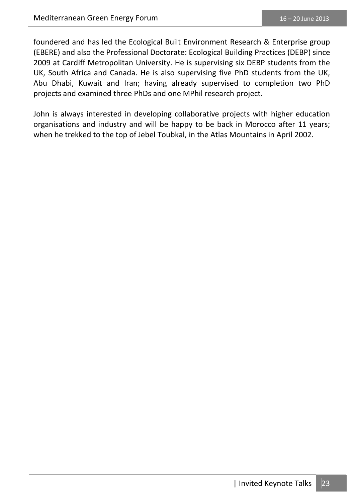foundered and has led the Ecological Built Environment Research & Enterprise group (EBERE) and also the Professional Doctorate: Ecological Building Practices (DEBP) since 2009 at Cardiff Metropolitan University. He is supervising six DEBP students from the UK, South Africa and Canada. He is also supervising five PhD students from the UK, Abu Dhabi, Kuwait and Iran; having already supervised to completion two PhD projects and examined three PhDs and one MPhil research project.

John is always interested in developing collaborative projects with higher education organisations and industry and will be happy to be back in Morocco after 11 years; when he trekked to the top of Jebel Toubkal, in the Atlas Mountains in April 2002.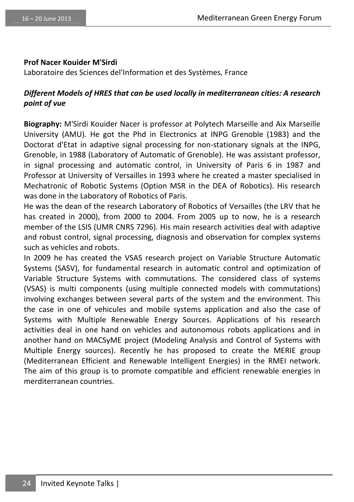#### **Prof Nacer Kouider M'Sirdi**

Laboratoire des Sciences del'Information et des Systèmes, France

#### *Different Models of HRES that can be used locally in mediterranean cities: A research point of vue*

**Biography:** M'Sirdi Kouider Nacer is professor at Polytech Marseille and Aix Marseille University (AMU). He got the Phd in Electronics at INPG Grenoble (1983) and the Doctorat d'Etat in adaptive signal processing for non-stationary signals at the INPG, Grenoble, in 1988 (Laboratory of Automatic of Grenoble). He was assistant professor, in signal processing and automatic control, in University of Paris 6 in 1987 and Professor at University of Versailles in 1993 where he created a master specialised in Mechatronic of Robotic Systems (Option MSR in the DEA of Robotics). His research was done in the Laboratory of Robotics of Paris.

He was the dean of the research Laboratory of Robotics of Versailles (the LRV that he has created in 2000), from 2000 to 2004. From 2005 up to now, he is a research member of the LSIS (UMR CNRS 7296). His main research activities deal with adaptive and robust control, signal processing, diagnosis and observation for complex systems such as vehicles and robots.

In 2009 he has created the VSAS research project on Variable Structure Automatic Systems (SASV), for fundamental research in automatic control and optimization of Variable Structure Systems with commutations. The considered class of systems (VSAS) is multi components (using multiple connected models with commutations) involving exchanges between several parts of the system and the environment. This the case in one of vehicules and mobile systems application and also the case of Systems with Multiple Renewable Energy Sources. Applications of his research activities deal in one hand on vehicles and autonomous robots applications and in another hand on MACSyME project (Modeling Analysis and Control of Systems with Multiple Energy sources). Recently he has proposed to create the MERIE group (Mediterranean Efficient and Renewable Intelligent Energies) in the RMEI network. The aim of this group is to promote compatible and efficient renewable energies in merditerranean countries.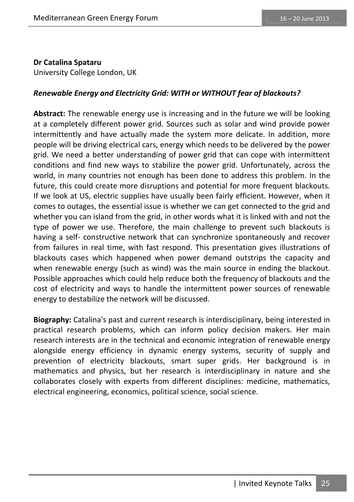#### **Dr Catalina Spataru**

University College London, UK

#### *Renewable Energy and Electricity Grid: WITH or WITHOUT fear of blackouts?*

**Abstract:** The renewable energy use is increasing and in the future we will be looking at a completely different power grid. Sources such as solar and wind provide power intermittently and have actually made the system more delicate. In addition, more people will be driving electrical cars, energy which needs to be delivered by the power grid. We need a better understanding of power grid that can cope with intermittent conditions and find new ways to stabilize the power grid. Unfortunately, across the world, in many countries not enough has been done to address this problem. In the future, this could create more disruptions and potential for more frequent blackouts. If we look at US, electric supplies have usually been fairly efficient. However, when it comes to outages, the essential issue is whether we can get connected to the grid and whether you can island from the grid, in other words what it is linked with and not the type of power we use. Therefore, the main challenge to prevent such blackouts is having a self- constructive network that can synchronize spontaneously and recover from failures in real time, with fast respond. This presentation gives illustrations of blackouts cases which happened when power demand outstrips the capacity and when renewable energy (such as wind) was the main source in ending the blackout. Possible approaches which could help reduce both the frequency of blackouts and the cost of electricity and ways to handle the intermittent power sources of renewable energy to destabilize the network will be discussed.

**Biography:** Catalina's past and current research is interdisciplinary, being interested in practical research problems, which can inform policy decision makers. Her main research interests are in the technical and economic integration of renewable energy alongside energy efficiency in dynamic energy systems, security of supply and prevention of electricity blackouts, smart super grids. Her background is in mathematics and physics, but her research is interdisciplinary in nature and she collaborates closely with experts from different disciplines: medicine, mathematics, electrical engineering, economics, political science, social science.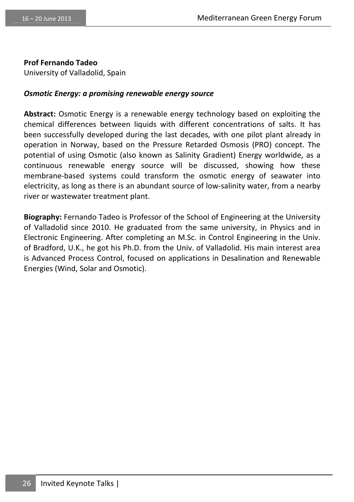**Prof Fernando Tadeo** 

University of Valladolid, Spain

#### *Osmotic Energy: a promising renewable energy source*

**Abstract:** Osmotic Energy is a renewable energy technology based on exploiting the chemical differences between liquids with different concentrations of salts. It has been successfully developed during the last decades, with one pilot plant already in operation in Norway, based on the Pressure Retarded Osmosis (PRO) concept. The potential of using Osmotic (also known as Salinity Gradient) Energy worldwide, as a continuous renewable energy source will be discussed, showing how these membrane-based systems could transform the osmotic energy of seawater into electricity, as long as there is an abundant source of low-salinity water, from a nearby river or wastewater treatment plant.

**Biography:** Fernando Tadeo is Professor of the School of Engineering at the University of Valladolid since 2010. He graduated from the same university, in Physics and in Electronic Engineering. After completing an M.Sc. in Control Engineering in the Univ. of Bradford, U.K., he got his Ph.D. from the Univ. of Valladolid. His main interest area is Advanced Process Control, focused on applications in Desalination and Renewable Energies (Wind, Solar and Osmotic).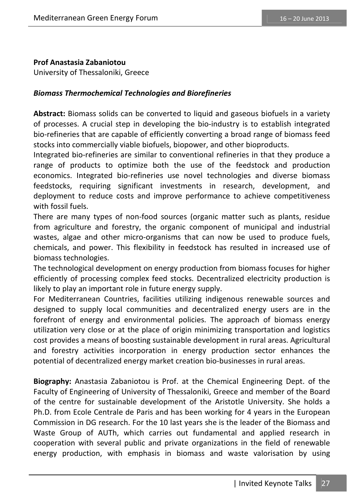#### **Prof Anastasia Zabaniotou**

University of Thessaloniki, Greece

#### *Biomass Thermochemical Technologies and Biorefineries*

**Abstract:** Biomass solids can be converted to liquid and gaseous biofuels in a variety of processes. A crucial step in developing the bio-industry is to establish integrated bio-refineries that are capable of efficiently converting a broad range of biomass feed stocks into commercially viable biofuels, biopower, and other bioproducts.

Integrated bio-refineries are similar to conventional refineries in that they produce a range of products to optimize both the use of the feedstock and production economics. Integrated bio-refineries use novel technologies and diverse biomass feedstocks, requiring significant investments in research, development, and deployment to reduce costs and improve performance to achieve competitiveness with fossil fuels.

There are many types of non-food sources (organic matter such as plants, residue from agriculture and forestry, the organic component of municipal and industrial wastes, algae and other micro-organisms that can now be used to produce fuels, chemicals, and power. This flexibility in feedstock has resulted in increased use of biomass technologies.

The technological development on energy production from biomass focuses for higher efficiently of processing complex feed stocks. Decentralized electricity production is likely to play an important role in future energy supply.

For Mediterranean Countries, facilities utilizing indigenous renewable sources and designed to supply local communities and decentralized energy users are in the forefront of energy and environmental policies. The approach of biomass energy utilization very close or at the place of origin minimizing transportation and logistics cost provides a means of boosting sustainable development in rural areas. Agricultural and forestry activities incorporation in energy production sector enhances the potential of decentralized energy market creation bio-businesses in rural areas.

**Biography:** Anastasia Zabaniotou is Prof. at the Chemical Engineering Dept. of the Faculty of Engineering of University of Thessaloniki, Greece and member of the Board of the centre for sustainable development of the Aristotle University. She holds a Ph.D. from Ecole Centrale de Paris and has been working for 4 years in the European Commission in DG research. For the 10 last years she is the leader of the Biomass and Waste Group of AUTh, which carries out fundamental and applied research in cooperation with several public and private organizations in the field of renewable energy production, with emphasis in biomass and waste valorisation by using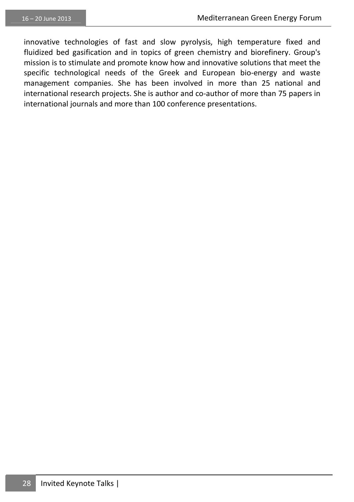innovative technologies of fast and slow pyrolysis, high temperature fixed and fluidized bed gasification and in topics of green chemistry and biorefinery. Group's mission is to stimulate and promote know how and innovative solutions that meet the specific technological needs of the Greek and European bio-energy and waste management companies. She has been involved in more than 25 national and international research projects. She is author and co-author of more than 75 papers in international journals and more than 100 conference presentations.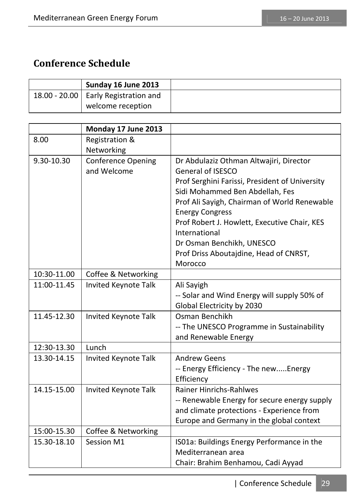## **Conference Schedule**

| Sunday 16 June 2013                    |  |
|----------------------------------------|--|
| 18.00 - 20.00   Early Registration and |  |
| welcome reception                      |  |

|             | Monday 17 June 2013       |                                                                   |
|-------------|---------------------------|-------------------------------------------------------------------|
| 8.00        | Registration &            |                                                                   |
|             | Networking                |                                                                   |
| 9.30-10.30  | <b>Conference Opening</b> | Dr Abdulaziz Othman Altwajiri, Director                           |
|             | and Welcome               | General of ISESCO                                                 |
|             |                           | Prof Serghini Farissi, President of University                    |
|             |                           | Sidi Mohammed Ben Abdellah, Fes                                   |
|             |                           | Prof Ali Sayigh, Chairman of World Renewable                      |
|             |                           | <b>Energy Congress</b>                                            |
|             |                           | Prof Robert J. Howlett, Executive Chair, KES                      |
|             |                           | International                                                     |
|             |                           | Dr Osman Benchikh, UNESCO                                         |
|             |                           | Prof Driss Aboutajdine, Head of CNRST,                            |
|             |                           | Morocco                                                           |
| 10:30-11.00 | Coffee & Networking       |                                                                   |
| 11:00-11.45 | Invited Keynote Talk      | Ali Sayigh                                                        |
|             |                           | -- Solar and Wind Energy will supply 50% of                       |
| 11.45-12.30 |                           | Global Electricity by 2030<br>Osman Benchikh                      |
|             | Invited Keynote Talk      |                                                                   |
|             |                           | -- The UNESCO Programme in Sustainability<br>and Renewable Energy |
| 12:30-13.30 | Lunch                     |                                                                   |
| 13.30-14.15 | Invited Keynote Talk      | <b>Andrew Geens</b>                                               |
|             |                           | -- Energy Efficiency - The newEnergy                              |
|             |                           | Efficiency                                                        |
| 14.15-15.00 | Invited Keynote Talk      | <b>Rainer Hinrichs-Rahlwes</b>                                    |
|             |                           | -- Renewable Energy for secure energy supply                      |
|             |                           | and climate protections - Experience from                         |
|             |                           | Europe and Germany in the global context                          |
| 15:00-15.30 | Coffee & Networking       |                                                                   |
| 15.30-18.10 | Session M1                | ISO1a: Buildings Energy Performance in the                        |
|             |                           | Mediterranean area                                                |
|             |                           | Chair: Brahim Benhamou, Cadi Ayyad                                |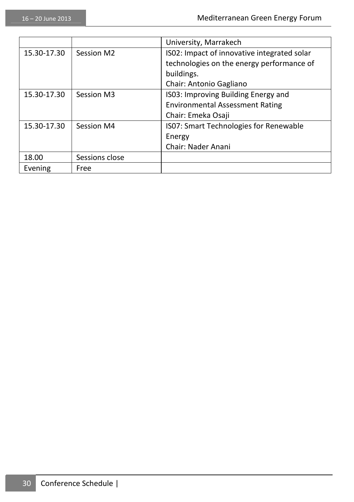|             |                | University, Marrakech                         |
|-------------|----------------|-----------------------------------------------|
| 15.30-17.30 | Session M2     | IS02: Impact of innovative integrated solar   |
|             |                | technologies on the energy performance of     |
|             |                | buildings.                                    |
|             |                | Chair: Antonio Gagliano                       |
| 15.30-17.30 | Session M3     | IS03: Improving Building Energy and           |
|             |                | <b>Environmental Assessment Rating</b>        |
|             |                | Chair: Emeka Osaji                            |
| 15.30-17.30 | Session M4     | <b>ISO7: Smart Technologies for Renewable</b> |
|             |                | Energy                                        |
|             |                | Chair: Nader Anani                            |
| 18.00       | Sessions close |                                               |
| Evening     | Free           |                                               |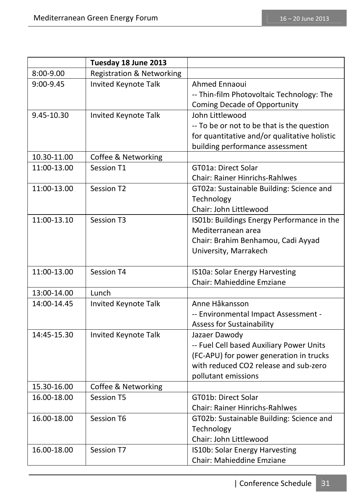|             | Tuesday 18 June 2013                 |                                              |
|-------------|--------------------------------------|----------------------------------------------|
| 8:00-9.00   | <b>Registration &amp; Networking</b> |                                              |
| 9:00-9.45   | Invited Keynote Talk                 | Ahmed Ennaoui                                |
|             |                                      | -- Thin-film Photovoltaic Technology: The    |
|             |                                      | Coming Decade of Opportunity                 |
| 9.45-10.30  | Invited Keynote Talk                 | John Littlewood                              |
|             |                                      | -- To be or not to be that is the question   |
|             |                                      | for quantitative and/or qualitative holistic |
|             |                                      | building performance assessment              |
| 10.30-11.00 | Coffee & Networking                  |                                              |
| 11:00-13.00 | Session T1                           | GT01a: Direct Solar                          |
|             |                                      | Chair: Rainer Hinrichs-Rahlwes               |
| 11:00-13.00 | Session T2                           | GT02a: Sustainable Building: Science and     |
|             |                                      | Technology                                   |
|             |                                      | Chair: John Littlewood                       |
| 11:00-13.10 | Session T3                           | IS01b: Buildings Energy Performance in the   |
|             |                                      | Mediterranean area                           |
|             |                                      | Chair: Brahim Benhamou, Cadi Ayyad           |
|             |                                      | University, Marrakech                        |
|             |                                      |                                              |
| 11:00-13.00 | Session T4                           | IS10a: Solar Energy Harvesting               |
|             |                                      | <b>Chair: Mahieddine Emziane</b>             |
| 13:00-14.00 | Lunch                                |                                              |
| 14:00-14.45 | Invited Keynote Talk                 | Anne Håkansson                               |
|             |                                      | -- Environmental Impact Assessment -         |
|             |                                      | Assess for Sustainability                    |
| 14:45-15.30 | Invited Keynote Talk                 | Jazaer Dawody                                |
|             |                                      | -- Fuel Cell based Auxiliary Power Units     |
|             |                                      | (FC-APU) for power generation in trucks      |
|             |                                      | with reduced CO2 release and sub-zero        |
|             |                                      | pollutant emissions                          |
| 15.30-16.00 | Coffee & Networking                  |                                              |
| 16.00-18.00 | Session T5                           | GT01b: Direct Solar                          |
|             |                                      | Chair: Rainer Hinrichs-Rahlwes               |
| 16.00-18.00 | Session T6                           | GT02b: Sustainable Building: Science and     |
|             |                                      | Technology                                   |
|             |                                      | Chair: John Littlewood                       |
| 16.00-18.00 | Session T7                           | IS10b: Solar Energy Harvesting               |
|             |                                      | Chair: Mahieddine Emziane                    |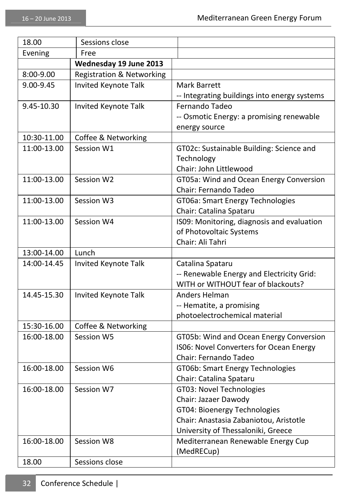| 18.00           | Sessions close                       |                                              |
|-----------------|--------------------------------------|----------------------------------------------|
| Free<br>Evening |                                      |                                              |
|                 | Wednesday 19 June 2013               |                                              |
| 8:00-9.00       | <b>Registration &amp; Networking</b> |                                              |
| 9.00-9.45       | Invited Keynote Talk                 | Mark Barrett                                 |
|                 |                                      | -- Integrating buildings into energy systems |
| 9.45-10.30      | Invited Keynote Talk                 | Fernando Tadeo                               |
|                 |                                      | -- Osmotic Energy: a promising renewable     |
|                 |                                      | energy source                                |
| 10:30-11.00     | Coffee & Networking                  |                                              |
| 11:00-13.00     | Session W1                           | GT02c: Sustainable Building: Science and     |
|                 |                                      | Technology                                   |
|                 |                                      | Chair: John Littlewood                       |
| 11:00-13.00     | Session W2                           | GT05a: Wind and Ocean Energy Conversion      |
|                 |                                      | Chair: Fernando Tadeo                        |
| 11:00-13.00     | Session W3                           | GT06a: Smart Energy Technologies             |
|                 |                                      | Chair: Catalina Spataru                      |
| 11:00-13.00     | Session W4                           | IS09: Monitoring, diagnosis and evaluation   |
|                 |                                      | of Photovoltaic Systems                      |
|                 |                                      | Chair: Ali Tahri                             |
| 13:00-14.00     | Lunch                                |                                              |
| 14:00-14.45     | Invited Keynote Talk                 | Catalina Spataru                             |
|                 |                                      | -- Renewable Energy and Electricity Grid:    |
|                 |                                      | WITH or WITHOUT fear of blackouts?           |
| 14.45-15.30     | Invited Keynote Talk                 | Anders Helman                                |
|                 |                                      | -- Hematite, a promising                     |
|                 |                                      | photoelectrochemical material                |
| 15:30-16.00     | Coffee & Networking                  |                                              |
| 16:00-18.00     | Session W5                           | GT05b: Wind and Ocean Energy Conversion      |
|                 |                                      | IS06: Novel Converters for Ocean Energy      |
|                 |                                      | Chair: Fernando Tadeo                        |
| 16:00-18.00     | Session W6                           | GT06b: Smart Energy Technologies             |
|                 |                                      | Chair: Catalina Spataru                      |
| 16:00-18.00     | Session W7                           | GT03: Novel Technologies                     |
|                 |                                      | Chair: Jazaer Dawody                         |
|                 |                                      | GT04: Bioenergy Technologies                 |
|                 |                                      | Chair: Anastasia Zabaniotou, Aristotle       |
|                 |                                      | University of Thessaloniki, Greece           |
| 16:00-18.00     | Session W8                           | Mediterranean Renewable Energy Cup           |
|                 |                                      | (MedRECup)                                   |
| 18.00           | Sessions close                       |                                              |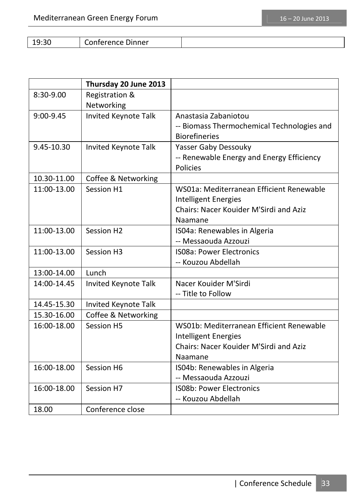19:30 Conference Dinner

|               | Thursday 20 June 2013 |                                            |
|---------------|-----------------------|--------------------------------------------|
| 8:30-9.00     | Registration &        |                                            |
|               | Networking            |                                            |
| $9:00 - 9.45$ | Invited Keynote Talk  | Anastasia Zabaniotou                       |
|               |                       | -- Biomass Thermochemical Technologies and |
|               |                       | <b>Biorefineries</b>                       |
| 9.45-10.30    | Invited Keynote Talk  | Yasser Gaby Dessouky                       |
|               |                       | -- Renewable Energy and Energy Efficiency  |
|               |                       | Policies                                   |
| 10.30-11.00   | Coffee & Networking   |                                            |
| 11:00-13.00   | Session H1            | WS01a: Mediterranean Efficient Renewable   |
|               |                       | Intelligent Energies                       |
|               |                       | Chairs: Nacer Kouider M'Sirdi and Aziz     |
|               |                       | Naamane                                    |
| 11:00-13.00   | Session H2            | ISO4a: Renewables in Algeria               |
|               |                       | -- Messaouda Azzouzi                       |
| 11:00-13.00   | Session H3            | <b>ISO8a: Power Electronics</b>            |
|               |                       | -- Kouzou Abdellah                         |
| 13:00-14.00   | Lunch                 |                                            |
| 14:00-14.45   | Invited Keynote Talk  | Nacer Kouider M'Sirdi                      |
|               |                       | -- Title to Follow                         |
| 14.45-15.30   | Invited Keynote Talk  |                                            |
| 15.30-16.00   | Coffee & Networking   |                                            |
| 16:00-18.00   | Session H5            | WS01b: Mediterranean Efficient Renewable   |
|               |                       | Intelligent Energies                       |
|               |                       | Chairs: Nacer Kouider M'Sirdi and Aziz     |
|               |                       | Naamane                                    |
| 16:00-18.00   | Session H6            | ISO4b: Renewables in Algeria               |
|               |                       | -- Messaouda Azzouzi                       |
| 16:00-18.00   | Session H7            | <b>ISO8b: Power Electronics</b>            |
|               |                       | -- Kouzou Abdellah                         |
| 18.00         | Conference close      |                                            |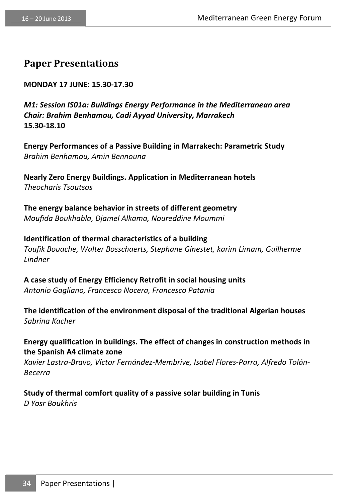### **Paper Presentations**

**MONDAY 17 JUNE: 15.30-17.30** 

*M1: Session IS01a: Buildings Energy Performance in the Mediterranean area Chair: Brahim Benhamou, Cadi Ayyad University, Marrakech* **15.30-18.10** 

**Energy Performances of a Passive Building in Marrakech: Parametric Study**  *Brahim Benhamou, Amin Bennouna* 

**Nearly Zero Energy Buildings. Application in Mediterranean hotels**  *Theocharis Tsoutsos* 

**The energy balance behavior in streets of different geometry**  *Moufida Boukhabla, Djamel Alkama, Noureddine Moummi*

**Identification of thermal characteristics of a building**  *Toufik Bouache, Walter Bosschaerts, Stephane Ginestet, karim Limam, Guilherme Lindner* 

**A case study of Energy Efficiency Retrofit in social housing units**  *Antonio Gagliano, Francesco Nocera, Francesco Patania* 

**The identification of the environment disposal of the traditional Algerian houses**  *Sabrina Kacher* 

**Energy qualification in buildings. The effect of changes in construction methods in the Spanish A4 climate zone** 

*Xavier Lastra-Bravo, Víctor Fernández-Membrive, Isabel Flores-Parra, Alfredo Tolón-Becerra* 

**Study of thermal comfort quality of a passive solar building in Tunis**  *D Yosr Boukhris*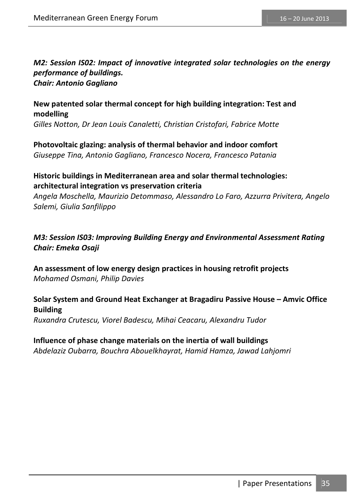#### *M2: Session IS02: Impact of innovative integrated solar technologies on the energy performance of buildings. Chair: Antonio Gagliano*

### **New patented solar thermal concept for high building integration: Test and modelling**

*Gilles Notton, Dr Jean Louis Canaletti, Christian Cristofari, Fabrice Motte* 

**Photovoltaic glazing: analysis of thermal behavior and indoor comfort**  *Giuseppe Tina, Antonio Gagliano, Francesco Nocera, Francesco Patania* 

#### **Historic buildings in Mediterranean area and solar thermal technologies: architectural integration vs preservation criteria**

*Angela Moschella , Maurizio Detommaso, Alessandro Lo Faro, Azzurra Privitera, Angelo Salemi, Giulia Sanfilippo* 

#### *M3: Session IS03: Improving Building Energy and Environmental Assessment Rating Chair: Emeka Osaji*

**An assessment of low energy design practices in housing retrofit projects**  *Mohamed Osmani, Philip Davies* 

#### **Solar System and Ground Heat Exchanger at Bragadiru Passive House – Amvic Office Building**

*Ruxandra Crutescu, Viorel Badescu, Mihai Ceacaru, Alexandru Tudor* 

#### **Influence of phase change materials on the inertia of wall buildings**  *Abdelaziz Oubarra, Bouchra Abouelkhayrat, Hamid Hamza, Jawad Lahjomri*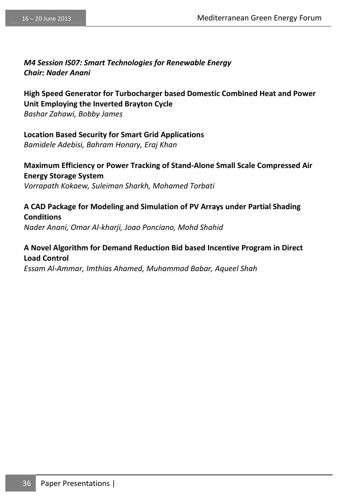#### *M4 Session IS07: Smart Technologies for Renewable Energy Chair: Nader Anani*

**High Speed Generator for Turbocharger based Domestic Combined Heat and Power Unit Employing the Inverted Brayton Cycle** 

*Bashar Zahawi, Bobby James* 

#### **Location Based Security for Smart Grid Applications**

*Bamidele Adebisi, Bahram Honary, Eraj Khan* 

**Maximum Efficiency or Power Tracking of Stand-Alone Small Scale Compressed Air Energy Storage System**  *Vorrapath Kokaew, Suleiman Sharkh, Mohamed Torbati* 

### **A CAD Package for Modeling and Simulation of PV Arrays under Partial Shading Conditions**

*Nader Anani, Omar Al-kharji, Joao Ponciano, Mohd Shahid* 

#### **A Novel Algorithm for Demand Reduction Bid based Incentive Program in Direct Load Control**

*Essam Al-Ammar, Imthias Ahamed, Muhammad Babar, Aqueel Shah*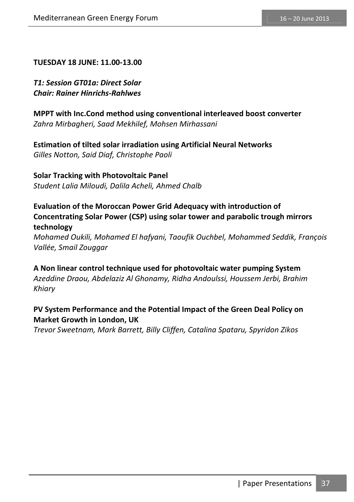#### **TUESDAY 18 JUNE: 11.00-13.00**

*T1: Session GT01a: Direct Solar Chair: Rainer Hinrichs-Rahlwes* 

**MPPT with Inc.Cond method using conventional interleaved boost converter**  *Zahra Mirbagheri, Saad Mekhilef, Mohsen Mirhassani* 

# **Estimation of tilted solar irradiation using Artificial Neural Networks**

*Gilles Notton, Said Diaf, Christophe Paoli* 

### **Solar Tracking with Photovoltaic Panel**

*Student Lalia Miloudi, Dalila Acheli, Ahmed Chalb* 

#### **Evaluation of the Moroccan Power Grid Adequacy with introduction of Concentrating Solar Power (CSP) using solar tower and parabolic trough mirrors technology**

*Mohamed Oukili, Mohamed El hafyani, Taoufik Ouchbel, Mohammed Seddik, François Vallée, Smail Zouggar* 

**A Non linear control technique used for photovoltaic water pumping System**  *Azeddine Draou, Abdelaziz Al Ghonamy, Ridha Andoulssi, Houssem Jerbi, Brahim Khiary* 

#### **PV System Performance and the Potential Impact of the Green Deal Policy on Market Growth in London, UK**

*Trevor Sweetnam, Mark Barrett, Billy Cliffen, Catalina Spataru, Spyridon Zikos*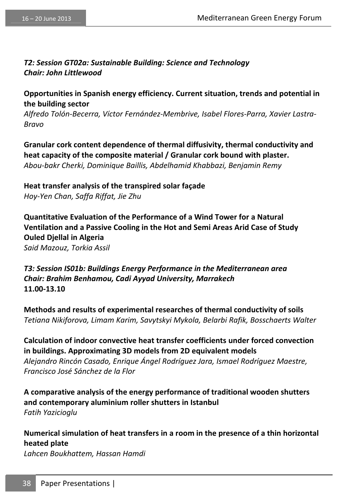#### *T2: Session GT02a: Sustainable Building: Science and Technology Chair: John Littlewood*

**Opportunities in Spanish energy efficiency. Current situation, trends and potential in the building sector** 

*Alfredo Tolón-Becerra, Víctor Fernández-Membrive, Isabel Flores-Parra, Xavier Lastra-Bravo* 

**Granular cork content dependence of thermal diffusivity, thermal conductivity and heat capacity of the composite material / Granular cork bound with plaster.**  *Abou-bakr Cherki, Dominique Baillis, Abdelhamid Khabbazi, Benjamin Remy* 

**Heat transfer analysis of the transpired solar façade**  *Hoy-Yen Chan, Saffa Riffat, Jie Zhu* 

**Quantitative Evaluation of the Performance of a Wind Tower for a Natural Ventilation and a Passive Cooling in the Hot and Semi Areas Arid Case of Study Ouled Djellal in Algeria** 

*Said Mazouz, Torkia Assil* 

*T3: Session IS01b: Buildings Energy Performance in the Mediterranean area Chair: Brahim Benhamou, Cadi Ayyad University, Marrakech* **11.00-13.10** 

**Methods and results of experimental researches of thermal conductivity of soils**  *Tetiana Nikiforova, Limam Karim, Savytskyi Mykola, Belarbi Rafik, Bosschaerts Walter* 

**Calculation of indoor convective heat transfer coefficients under forced convection in buildings. Approximating 3D models from 2D equivalent models**  *Alejandro Rincón Casado, Enrique Ángel Rodríguez Jara, Ismael Rodríguez Maestre, Francisco José Sánchez de la Flor* 

**A comparative analysis of the energy performance of traditional wooden shutters and contemporary aluminium roller shutters in Istanbul**  *Fatih Yazicioglu* 

**Numerical simulation of heat transfers in a room in the presence of a thin horizontal heated plate** 

*Lahcen Boukhattem, Hassan Hamdi*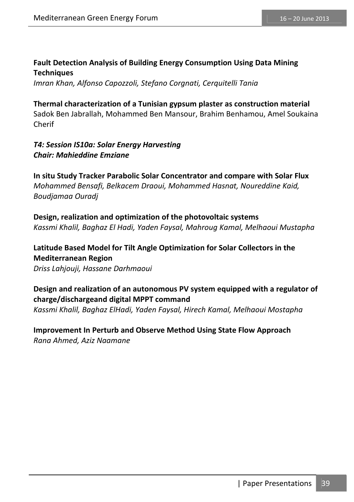#### **Fault Detection Analysis of Building Energy Consumption Using Data Mining Techniques**

*Imran Khan, Alfonso Capozzoli, Stefano Corgnati, Cerquitelli Tania* 

#### **Thermal characterization of a Tunisian gypsum plaster as construction material**

Sadok Ben Jabrallah, Mohammed Ben Mansour, Brahim Benhamou, Amel Soukaina Cherif

#### *T4: Session IS10a: Solar Energy Harvesting Chair: Mahieddine Emziane*

**In situ Study Tracker Parabolic Solar Concentrator and compare with Solar Flux**  *Mohammed Bensafi, Belkacem Draoui, Mohammed Hasnat, Noureddine Kaid, Boudjamaa Ouradj* 

**Design, realization and optimization of the photovoltaic systems**  *Kassmi Khalil, Baghaz El Hadi, Yaden Faysal, Mahroug Kamal, Melhaoui Mustapha* 

#### **Latitude Based Model for Tilt Angle Optimization for Solar Collectors in the Mediterranean Region**

*Driss Lahjouji, Hassane Darhmaoui* 

### **Design and realization of an autonomous PV system equipped with a regulator of charge/dischargeand digital MPPT command**

*Kassmi Khalil, Baghaz ElHadi, Yaden Faysal, Hirech Kamal, Melhaoui Mostapha* 

#### **Improvement In Perturb and Observe Method Using State Flow Approach**  *Rana Ahmed, Aziz Naamane*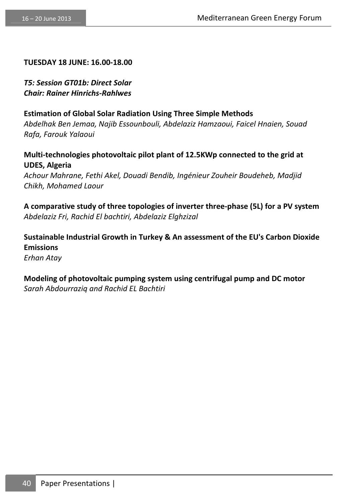#### **TUESDAY 18 JUNE: 16.00-18.00**

*T5: Session GT01b: Direct Solar Chair: Rainer Hinrichs-Rahlwes* 

*Chikh, Mohamed Laour* 

#### **Estimation of Global Solar Radiation Using Three Simple Methods**

*Abdelhak Ben Jemaa, Najib Essounbouli, Abdelaziz Hamzaoui, Faicel Hnaien, Souad Rafa, Farouk Yalaoui* 

**Multi-technologies photovoltaic pilot plant of 12.5KWp connected to the grid at UDES, Algeria**  *Achour Mahrane, Fethi Akel, Douadi Bendib, Ingénieur Zouheir Boudeheb, Madjid* 

**A comparative study of three topologies of inverter three-phase (5L) for a PV system**  *Abdelaziz Fri, Rachid El bachtiri, Abdelaziz Elghzizal* 

**Sustainable Industrial Growth in Turkey & An assessment of the EU's Carbon Dioxide Emissions**  *Erhan Atay* 

**Modeling of photovoltaic pumping system using centrifugal pump and DC motor**  *Sarah Abdourraziq and Rachid EL Bachtiri*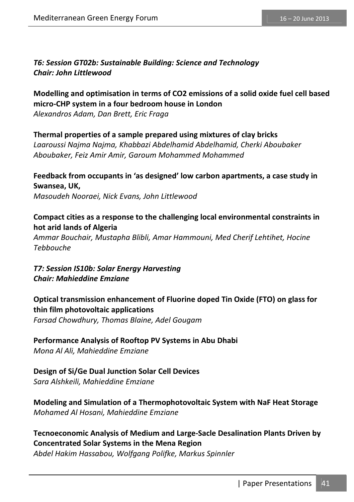*T6: Session GT02b: Sustainable Building: Science and Technology Chair: John Littlewood* 

**Modelling and optimisation in terms of CO2 emissions of a solid oxide fuel cell based micro-CHP system in a four bedroom house in London** 

*Alexandros Adam, Dan Brett, Eric Fraga* 

#### **Thermal properties of a sample prepared using mixtures of clay bricks**

*Laaroussi Najma Najma, Khabbazi Abdelhamid Abdelhamid, Cherki Aboubaker Aboubaker, Feiz Amir Amir, Garoum Mohammed Mohammed*

**Feedback from occupants in 'as designed' low carbon apartments, a case study in Swansea, UK,**  *Masoudeh Nooraei, Nick Evans, John Littlewood* 

#### **Compact cities as a response to the challenging local environmental constraints in hot arid lands of Algeria**

*Ammar Bouchair, Mustapha Blibli, Amar Hammouni, Med Cherif Lehtihet, Hocine Tebbouche* 

*T7: Session IS10b: Solar Energy Harvesting Chair: Mahieddine Emziane* 

### **Optical transmission enhancement of Fluorine doped Tin Oxide (FTO) on glass for thin film photovoltaic applications**

*Farsad Chowdhury, Thomas Blaine, Adel Gougam* 

#### **Performance Analysis of Rooftop PV Systems in Abu Dhabi**

*Mona Al Ali, Mahieddine Emziane* 

#### **Design of Si/Ge Dual Junction Solar Cell Devices**  *Sara Alshkeili, Mahieddine Emziane*

#### **Modeling and Simulation of a Thermophotovoltaic System with NaF Heat Storage**  *Mohamed Al Hosani, Mahieddine Emziane*

#### **Tecnoeconomic Analysis of Medium and Large-Sacle Desalination Plants Driven by Concentrated Solar Systems in the Mena Region**

*Abdel Hakim Hassabou, Wolfgang Polifke, Markus Spinnler*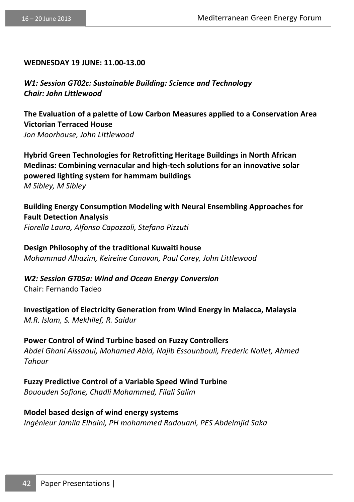#### **WEDNESDAY 19 JUNE: 11.00-13.00**

*W1: Session GT02c: Sustainable Building: Science and Technology Chair: John Littlewood* 

**The Evaluation of a palette of Low Carbon Measures applied to a Conservation Area Victorian Terraced House**  *Jon Moorhouse, John Littlewood* 

**Hybrid Green Technologies for Retrofitting Heritage Buildings in North African Medinas: Combining vernacular and high-tech solutions for an innovative solar powered lighting system for hammam buildings**  *M Sibley, M Sibley* 

**Building Energy Consumption Modeling with Neural Ensembling Approaches for Fault Detection Analysis**  *Fiorella Lauro, Alfonso Capozzoli, Stefano Pizzuti* 

**Design Philosophy of the traditional Kuwaiti house**  *Mohammad Alhazim, Keireine Canavan, Paul Carey, John Littlewood* 

*W2: Session GT05a: Wind and Ocean Energy Conversion*  Chair: Fernando Tadeo

**Investigation of Electricity Generation from Wind Energy in Malacca, Malaysia**  *M.R. Islam, S. Mekhilef, R. Saidur* 

**Power Control of Wind Turbine based on Fuzzy Controllers**  *Abdel Ghani Aissaoui, Mohamed Abid, Najib Essounbouli, Frederic Nollet, Ahmed Tahour* 

**Fuzzy Predictive Control of a Variable Speed Wind Turbine**  *Bououden Sofiane, Chadli Mohammed, Filali Salim* 

**Model based design of wind energy systems**  *Ingénieur Jamila Elhaini, PH mohammed Radouani, PES Abdelmjid Saka*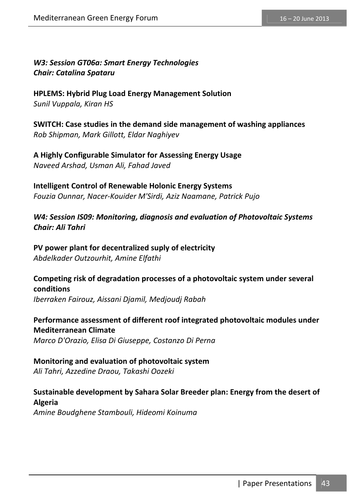*W3: Session GT06a: Smart Energy Technologies Chair: Catalina Spataru* 

**HPLEMS: Hybrid Plug Load Energy Management Solution**  *Sunil Vuppala, Kiran HS* 

**SWITCH: Case studies in the demand side management of washing appliances**  *Rob Shipman, Mark Gillott, Eldar Naghiyev* 

**A Highly Configurable Simulator for Assessing Energy Usage**  *Naveed Arshad, Usman Ali, Fahad Javed* 

**Intelligent Control of Renewable Holonic Energy Systems**  *Fouzia Ounnar, Nacer-Kouider M'Sirdi, Aziz Naamane, Patrick Pujo* 

*W4: Session IS09: Monitoring, diagnosis and evaluation of Photovoltaic Systems Chair: Ali Tahri* 

**PV power plant for decentralized suply of electricity**  *Abdelkader Outzourhit, Amine Elfathi* 

### **Competing risk of degradation processes of a photovoltaic system under several conditions**

*Iberraken Fairouz, Aissani Djamil, Medjoudj Rabah* 

**Performance assessment of different roof integrated photovoltaic modules under Mediterranean Climate**  *Marco D'Orazio, Elisa Di Giuseppe, Costanzo Di Perna* 

**Monitoring and evaluation of photovoltaic system**  *Ali Tahri, Azzedine Draou, Takashi Oozeki* 

### **Sustainable development by Sahara Solar Breeder plan: Energy from the desert of Algeria**

*Amine Boudghene Stambouli, Hideomi Koinuma*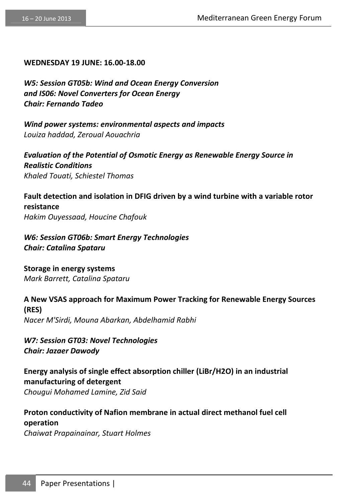#### **WEDNESDAY 19 JUNE: 16.00-18.00**

*W5: Session GT05b: Wind and Ocean Energy Conversion and IS06: Novel Converters for Ocean Energy Chair: Fernando Tadeo* 

*Wind power systems: environmental aspects and impacts Louiza haddad, Zeroual Aouachria* 

*Evaluation of the Potential of Osmotic Energy as Renewable Energy Source in Realistic Conditions Khaled Touati, Schiestel Thomas* 

**Fault detection and isolation in DFIG driven by a wind turbine with a variable rotor resistance**  *Hakim Ouyessaad, Houcine Chafouk* 

*W6: Session GT06b: Smart Energy Technologies Chair: Catalina Spataru* 

**Storage in energy systems**  *Mark Barrett, Catalina Spataru* 

**A New VSAS approach for Maximum Power Tracking for Renewable Energy Sources (RES)**  *Nacer M'Sirdi, Mouna Abarkan, Abdelhamid Rabhi* 

*W7: Session GT03: Novel Technologies Chair: Jazaer Dawody* 

**Energy analysis of single effect absorption chiller (LiBr/H2O) in an industrial manufacturing of detergent**  *Chougui Mohamed Lamine, Zid Said* 

**Proton conductivity of Nafion membrane in actual direct methanol fuel cell operation** 

*Chaiwat Prapainainar, Stuart Holmes*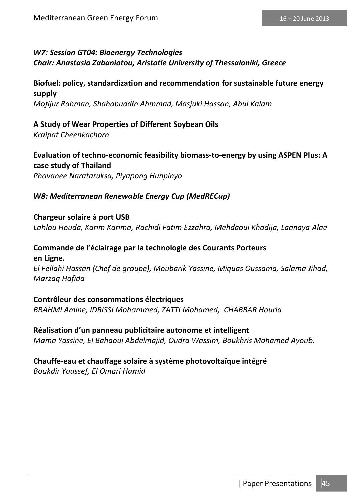#### *W7: Session GT04: Bioenergy Technologies Chair: Anastasia Zabaniotou, Aristotle University of Thessaloniki, Greece*

#### **Biofuel: policy, standardization and recommendation for sustainable future energy supply**  *Mofijur Rahman, Shahabuddin Ahmmad, Masjuki Hassan, Abul Kalam*

**A Study of Wear Properties of Different Soybean Oils**  *Kraipat Cheenkachorn* 

**Evaluation of techno-economic feasibility biomass-to-energy by using ASPEN Plus: A case study of Thailand**  *Phavanee Narataruksa, Piyapong Hunpinyo* 

*W8: Mediterranean Renewable Energy Cup (MedRECup)* 

**Chargeur solaire à port USB**  *Lahlou Houda, Karim Karima, Rachidi Fatim Ezzahra, Mehdaoui Khadija, Laanaya Alae* 

#### **Commande de l'éclairage par la technologie des Courants Porteurs en Ligne.**

*El Fellahi Hassan (Chef de groupe), Moubarik Yassine, Miquas Oussama, Salama Jihad, Marzaq Hafida* 

**Contrôleur des consommations électriques**  *BRAHMI Amine, IDRISSI Mohammed, ZATTI Mohamed, CHABBAR Houria* 

**Réalisation d'un panneau publicitaire autonome et intelligent**  *Mama Yassine, El Bahaoui Abdelmajid, Oudra Wassim, Boukhris Mohamed Ayoub.* 

#### **Chauffe-eau et chauffage solaire à système photovoltaïque intégré**

*Boukdir Youssef, El Omari Hamid*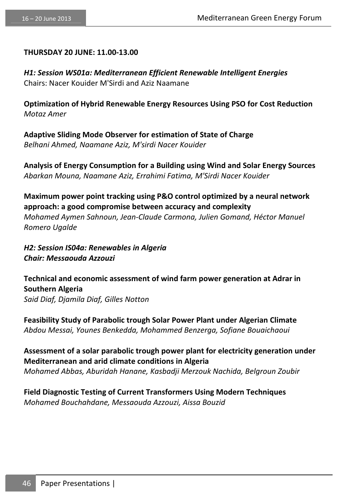#### **THURSDAY 20 JUNE: 11.00-13.00**

*H1: Session WS01a: Mediterranean Efficient Renewable Intelligent Energies*  Chairs: Nacer Kouider M'Sirdi and Aziz Naamane

**Optimization of Hybrid Renewable Energy Resources Using PSO for Cost Reduction**  *Motaz Amer* 

**Adaptive Sliding Mode Observer for estimation of State of Charge**  *Belhani Ahmed, Naamane Aziz, M'sirdi Nacer Kouider* 

**Analysis of Energy Consumption for a Building using Wind and Solar Energy Sources**  *Abarkan Mouna, Naamane Aziz, Errahimi Fatima, M'Sirdi Nacer Kouider* 

**Maximum power point tracking using P&O control optimized by a neural network approach: a good compromise between accuracy and complexity**  *Mohamed Aymen Sahnoun, Jean-Claude Carmona, Julien Gomand, Héctor Manuel Romero Ugalde* 

*H2: Session IS04a: Renewables in Algeria Chair: Messaouda Azzouzi* 

**Technical and economic assessment of wind farm power generation at Adrar in Southern Algeria**  *Said Diaf, Djamila Diaf, Gilles Notton* 

**Feasibility Study of Parabolic trough Solar Power Plant under Algerian Climate**  *Abdou Messai, Younes Benkedda, Mohammed Benzerga, Sofiane Bouaichaoui* 

**Assessment of a solar parabolic trough power plant for electricity generation under Mediterranean and arid climate conditions in Algeria** 

*Mohamed Abbas, Aburidah Hanane, Kasbadji Merzouk Nachida, Belgroun Zoubir* 

**Field Diagnostic Testing of Current Transformers Using Modern Techniques**  *Mohamed Bouchahdane, Messaouda Azzouzi, Aissa Bouzid*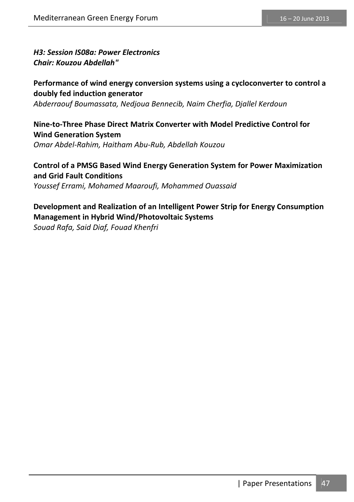*H3: Session IS08a: Power Electronics Chair: Kouzou Abdellah"* 

**Performance of wind energy conversion systems using a cycloconverter to control a doubly fed induction generator**  *Abderraouf Boumassata, Nedjoua Bennecib, Naim Cherfia, Djallel Kerdoun* 

#### **Nine-to-Three Phase Direct Matrix Converter with Model Predictive Control for Wind Generation System**  *Omar Abdel-Rahim, Haitham Abu-Rub, Abdellah Kouzou*

**Control of a PMSG Based Wind Energy Generation System for Power Maximization and Grid Fault Conditions**  *Youssef Errami, Mohamed Maaroufi, Mohammed Ouassaid*

### **Development and Realization of an Intelligent Power Strip for Energy Consumption Management in Hybrid Wind/Photovoltaic Systems**

*Souad Rafa, Said Diaf, Fouad Khenfri*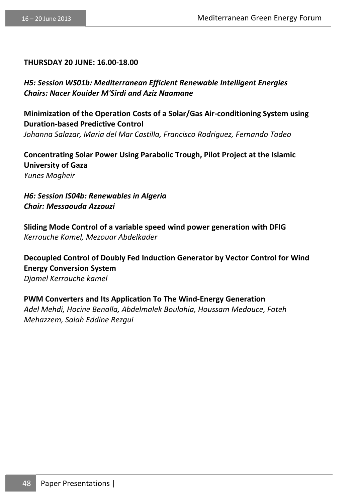#### **THURSDAY 20 JUNE: 16.00-18.00**

*H5: Session WS01b: Mediterranean Efficient Renewable Intelligent Energies Chairs: Nacer Kouider M'Sirdi and Aziz Naamane* 

**Minimization of the Operation Costs of a Solar/Gas Air-conditioning System using Duration-based Predictive Control**  *Johanna Salazar, Maria del Mar Castilla, Francisco Rodriguez, Fernando Tadeo* 

**Concentrating Solar Power Using Parabolic Trough, Pilot Project at the Islamic University of Gaza**  *Yunes Mogheir* 

*H6: Session IS04b: Renewables in Algeria Chair: Messaouda Azzouzi* 

**Sliding Mode Control of a variable speed wind power generation with DFIG**  *Kerrouche Kamel, Mezouar Abdelkader* 

**Decoupled Control of Doubly Fed Induction Generator by Vector Control for Wind Energy Conversion System**  *Djamel Kerrouche kamel* 

**PWM Converters and Its Application To The Wind-Energy Generation**  *Adel Mehdi, Hocine Benalla, Abdelmalek Boulahia, Houssam Medouce, Fateh Mehazzem, Salah Eddine Rezgui*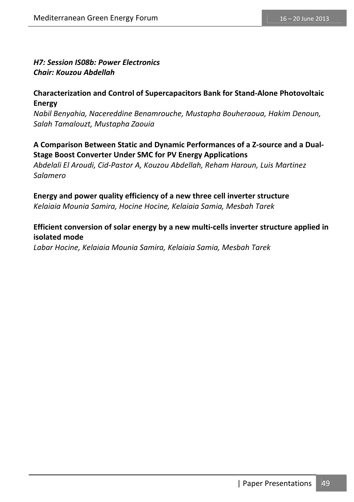#### *H7: Session IS08b: Power Electronics Chair: Kouzou Abdellah*

#### **Characterization and Control of Supercapacitors Bank for Stand-Alone Photovoltaic Energy**

*Nabil Benyahia, Nacereddine Benamrouche, Mustapha Bouheraoua, Hakim Denoun, Salah Tamalouzt, Mustapha Zaouia* 

#### **A Comparison Between Static and Dynamic Performances of a Z-source and a Dual-Stage Boost Converter Under SMC for PV Energy Applications**

*Abdelali El Aroudi, Cid-Pastor A, Kouzou Abdellah, Reham Haroun, Luis Martinez Salamero* 

#### **Energy and power quality efficiency of a new three cell inverter structure**

*Kelaiaia Mounia Samira, Hocine Hocine, Kelaiaia Samia, Mesbah Tarek* 

#### **Efficient conversion of solar energy by a new multi-cells inverter structure applied in isolated mode**

*Labar Hocine, Kelaiaia Mounia Samira, Kelaiaia Samia, Mesbah Tarek*